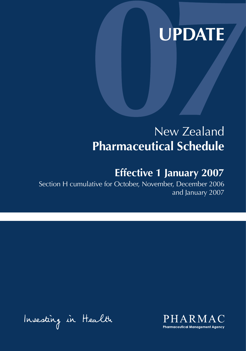# **UPDATE**

# New Zealand **Pharmaceutical Schedule**

# **Effective 1 January 2007**

Section H cumulative for October, November, December 2006 and January 2007

Insesting in Health

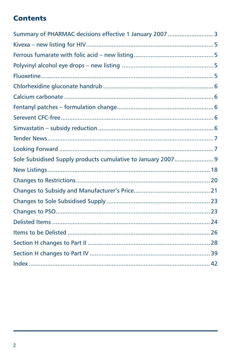# **Contents**

| Summary of PHARMAC decisions effective 1 January 2007  3 |  |
|----------------------------------------------------------|--|
|                                                          |  |
|                                                          |  |
|                                                          |  |
|                                                          |  |
|                                                          |  |
|                                                          |  |
|                                                          |  |
|                                                          |  |
|                                                          |  |
|                                                          |  |
|                                                          |  |
|                                                          |  |
|                                                          |  |
|                                                          |  |
|                                                          |  |
|                                                          |  |
|                                                          |  |
|                                                          |  |
|                                                          |  |
|                                                          |  |
|                                                          |  |
|                                                          |  |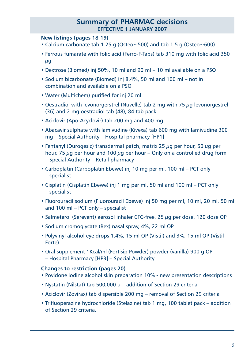### **Summary of PHARMAC decisions effective 1 JANUARY 2007**

### **New listings (pages 18-19)**

- Calcium carbonate tab 1.25 g (Osteo~500) and tab 1.5 g (Osteo~600)
- Ferrous fumarate with folic acid (Ferro-F-Tabs) tab 310 mg with folic acid 350  $\mu$ g
- Dextrose (Biomed) inj 50%, 10 ml and 90 ml 10 ml available on a PSO
- Sodium bicarbonate (Biomed) inj 8.4%, 50 ml and 100 ml not in combination and available on a PSO
- Water (Multichem) purified for inj 20 ml
- Oestradiol with levonorgerstrel (Nuvelle) tab 2 mg with 75 µg levonorgestrel (36) and 2 mg oestradiol tab (48), 84 tab pack
- Aciclovir (Apo-Acyclovir) tab 200 mg and 400 mg
- Abacavir sulphate with lamivudine (Kivexa) tab 600 mg with lamivudine 300 mg – Special Authority – Hospital pharmacy [HP1]
- Fentanyl (Durogesic) transdermal patch, matrix 25  $\mu$ g per hour, 50  $\mu$ g per hour, 75  $\mu$ g per hour and 100  $\mu$ g per hour – Only on a controlled drug form – Special Authority – Retail pharmacy
- Carboplatin (Carboplatin Ebewe) inj 10 mg per ml, 100 ml PCT only – specialist
- Cisplatin (Cisplatin Ebewe) inj 1 mg per ml, 50 ml and 100 ml PCT only – specialist
- Fluorouracil sodium (Fluorouracil Ebewe) inj 50 mg per ml, 10 ml, 20 ml, 50 ml and 100 ml – PCT only – specialist
- Salmeterol (Serevent) aerosol inhaler CFC-free, 25 ug per dose, 120 dose OP
- Sodium cromoglycate (Rex) nasal spray, 4%, 22 ml OP
- Polyvinyl alcohol eye drops 1.4%, 15 ml OP (Vistil) and 3%, 15 ml OP (Vistil Forte)
- Oral supplement 1Kcal/ml (Fortisip Powder) powder (vanilla) 900 g OP – Hospital Pharmacy [HP3] – Special Authority

### **Changes to restriction (pages 20)**

- Povidone iodine alcohol skin preparation 10% new presentation descriptions
- Nystatin (Nilstat) tab 500,000 u addition of Section 29 criteria
- Aciclovir (Zovirax) tab dispersible 200 mg removal of Section 29 criteria
- Trifluoperazine hydrochloride (Stelazine) tab 1 mg, 100 tablet pack addition of Section 29 criteria.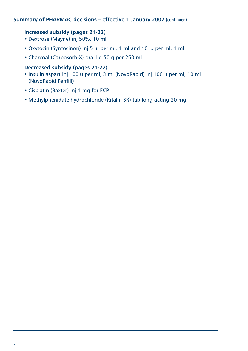### **Summary of PHARMAC decisions – effective 1 January 2007 (continued)**

### **Increased subsidy (pages 21-22)**

- Dextrose (Mayne) inj 50%, 10 ml
- Oxytocin (Syntocinon) inj 5 iu per ml, 1 ml and 10 iu per ml, 1 ml
- Charcoal (Carbosorb-X) oral liq 50 g per 250 ml

### **Decreased subsidy (pages 21-22)**

- Insulin aspart inj 100 u per ml, 3 ml (NovoRapid) inj 100 u per ml, 10 ml (NovoRapid Penfill)
- Cisplatin (Baxter) inj 1 mg for ECP
- Methylphenidate hydrochloride (Ritalin SR) tab long-acting 20 mg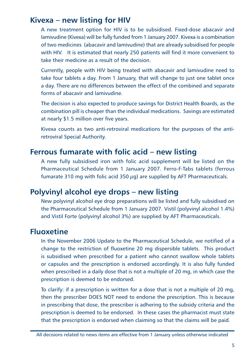### **Kivexa – new listing for HIV**

A new treatment option for HIV is to be subsidised. Fixed-dose abacavir and lamivudine (Kivexa) will be fully funded from 1 January 2007. Kivexa is a combination of two medicines (abacavir and lamivudine) that are already subsidised for people with HIV. It is estimated that nearly 250 patients will find it more convenient to take their medicine as a result of the decision.

Currently, people with HIV being treated with abacavir and lamivudine need to take four tablets a day. From 1 January, that will change to just one tablet once a day. There are no differences between the effect of the combined and separate forms of abacavir and lamivudine.

The decision is also expected to produce savings for District Health Boards, as the combination pill is cheaper than the individual medications. Savings are estimated at nearly \$1.5 million over five years.

Kivexa counts as two anti-retroviral medications for the purposes of the antiretroviral Special Authority.

### **Ferrous fumarate with folic acid – new listing**

A new fully subsidised iron with folic acid supplement will be listed on the Pharmaceutical Schedule from 1 January 2007. Ferro-F-Tabs tablets (ferrous fumarate 310 mg with folic acid 350  $\mu$ g) are supplied by AFT Pharmaceuticals.

### **Polyvinyl alcohol eye drops – new listing**

New polyvinyl alcohol eye drop preparations will be listed and fully subsidised on the Pharmaceutical Schedule from 1 January 2007. Vistil (polyvinyl alcohol 1.4%) and Vistil Forte (polyvinyl alcohol 3%) are supplied by AFT Pharmaceuticals.

# **Fluoxetine**

In the November 2006 Update to the Pharmaceutical Schedule, we notified of a change to the restriction of fluoxetine 20 mg dispersible tablets. This product is subsidised when prescribed for a patient who cannot swallow whole tablets or capsules and the prescription is endorsed accordingly. It is also fully funded when prescribed in a daily dose that is not a multiple of 20 mg, in which case the prescription is deemed to be endorsed.

To clarify: if a prescription is written for a dose that is not a multiple of 20 mg, then the prescriber DOES NOT need to endorse the prescription. This is because in prescribing that dose, the prescriber is adhering to the subsidy criteria and the prescription is deemed to be endorsed. In these cases the pharmacist must state that the prescription is endorsed when claiming so that the claims will be paid.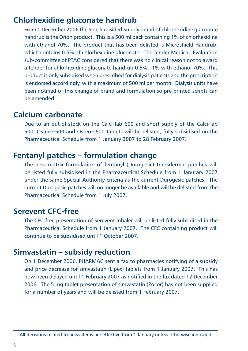### **Chlorhexidine gluconate handrub**

From 1 December 2006 the Sole Subisided Supply brand of chlorhexidine gluconate handrub is the Orion product. This is a 500 ml pack containing 1% of chlorhexidine with ethanol 70%. The product that has been delisted is Microshield Handrub, which contains 0.5% of chlorhexidine gluconate. The Tender Medical Evaluation sub-committee of PTAC considered that there was no clinical reason not to award a tender for chlorhexidine gluconate handrub 0.5% - 1% with ethanol 70%. This product is only subsidised when prescribed for dialysis patients and the prescription is endorsed accordingly, with a maximum of 500 ml per month. Dialysis units have been notified of this change of brand and formulation so pre-printed scripts can be amended.

### **Calcium carbonate**

Due to an out-of-stock on the Calci-Tab 600 and short supply of the Calci-Tab 500, Osteo~500 and Osteo~600 tablets will be relisted, fully subsidised on the Pharmaceutical Schedule from 1 January 2007 to 28 February 2007.

### **Fentanyl patches – formulation change**

The new matrix formulation of fentanyl (Durogesic) transdermal patches will be listed fully subsidised in the Pharmaceutical Schedule from 1 Janurary 2007 under the same Special Authority criteria as the current Durogesic patches. The current Durogesic patches will no longer be available and will be delisted from the Pharmaceutical Schedule from 1 July 2007.

### **Serevent CFC-free**

The CFC-free presentation of Serevent Inhaler will be listed fully subsidised in the Pharmaceutical Schedule from 1 January 2007. The CFC containing product will continue to be subsidised until 1 October 2007.

### **Simvastatin – subsidy reduction**

On 1 December 2006, PHARMAC sent a fax to pharmacies notifying of a subsidy and price decrease for simvastatin (Lipex) tablets from 1 January 2007. This has now been delayed until 1 February 2007 as notified in the fax dated 12 December 2006. The 5 mg tablet presentation of simvastatin (Zocor) has not been supplied for a number of years and will be delisted from 1 February 2007.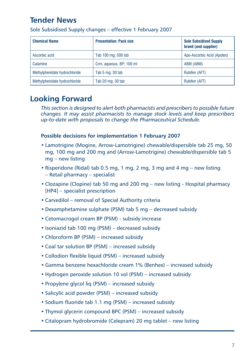# **Tender News**

| <b>Chemical Name</b>          | <b>Presentation: Pack size</b> | <b>Sole Subsidised Supply</b><br>brand (and supplier) |
|-------------------------------|--------------------------------|-------------------------------------------------------|
| Ascorbic acid                 | Tab 100 mg; 500 tab            | Apo-Ascorbic Acid (Apotex)                            |
| Calamine                      | Crm, aqueous, BP; 100 ml       | ABM (ABM)                                             |
| Methylphenidate hydrochloride | Tab 5 mg; 30 tab               | Rubifen (AFT)                                         |
| Methylphenidate hydrochloride | Tab 20 mg; 30 tab              | Rubifen (AFT)                                         |

Sole Subsidised Supply changes – effective 1 February 2007

# **Looking Forward**

*This section is designed to alert both pharmacists and prescribers to possible future changes. It may assist pharmacists to manage stock levels and keep prescribers up-to-date with proposals to change the Pharmaceutical Schedule.*

### **Possible decisions for implementation 1 February 2007**

- Lamotrigine (Mogine, Arrow-Lamotrigine) chewable/dispersible tab 25 mg, 50 mg, 100 mg and 200 mg and (Arrow-Lamotrigine) chewable/dispersible tab 5 mg – new listing
- Risperidone (Ridal) tab 0.5 mg, 1 mg, 2 mg, 3 mg and 4 mg new listing – Retail pharmacy – specialist
- Clozapine (Clopine) tab 50 mg and 200 mg new listing Hospital pharmacy [HP4] – specialist prescription
- Carvedilol removal of Special Authority criteria
- Dexamphetamine sulphate (PSM) tab 5 mg decreased subsidy
- Cetomacrogol cream BP (PSM) subsidy increase
- Isoniazid tab 100 mg (PSM) decreased subsidy
- Chloroform BP (PSM) increased subsidy
- Coal tar solution BP (PSM) increased subsidy
- Collodion flexible liquid (PSM) increased subsidy
- Gamma benzene hexachloride cream 1% (Benhex) increased subsidy
- Hydrogen peroxide solution 10 vol (PSM) increased subsidy
- Propylene glycol liq (PSM) increased subsidy
- Salicylic acid powder (PSM) increased subsidy
- Sodium fluoride tab 1.1 mg (PSM) increased subsidy
- Thymol glycerin compound BPC (PSM) increased subsidy
- Citalopram hydrobromide (Celepram) 20 mg tablet new listing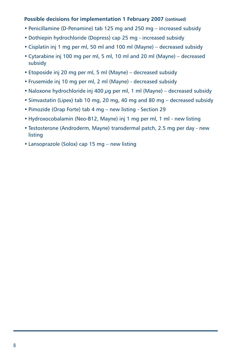### **Possible decisions for implementation 1 February 2007 (continued)**

- Penicillamine (D-Penamine) tab 125 mg and 250 mg increased subsidy
- Dothiepin hydrochloride (Dopress) cap 25 mg increased subsidy
- Cisplatin inj 1 mg per ml, 50 ml and 100 ml (Mayne) decreased subsidy
- Cytarabine inj 100 mg per ml, 5 ml, 10 ml and 20 ml (Mayne) decreased subsidy
- Etoposide inj 20 mg per ml, 5 ml (Mayne) decreased subsidy
- Frusemide inj 10 mg per ml, 2 ml (Mayne) decreased subsidy
- Naloxone hydrochloride inj 400  $\mu$ g per ml, 1 ml (Mayne) decreased subsidy
- Simvastatin (Lipex) tab 10 mg, 20 mg, 40 mg and 80 mg decreased subsidy
- Pimozide (Orap Forte) tab 4 mg new listing Section 29
- Hydroxocobalamin (Neo-B12, Mayne) inj 1 mg per ml, 1 ml new listing
- Testosterone (Androderm, Mayne) transdermal patch, 2.5 mg per day new listing
- Lansoprazole (Solox) cap 15 mg new listing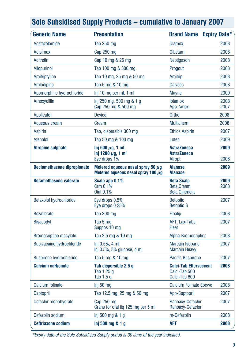| <b>Generic Name</b>                | <b>Presentation</b>                                                               | <b>Brand Name</b>                                               | <b>Expiry Date*</b> |
|------------------------------------|-----------------------------------------------------------------------------------|-----------------------------------------------------------------|---------------------|
| Acetazolamide                      | <b>Tab 250 mg</b>                                                                 | <b>Diamox</b>                                                   | 2008                |
| <b>Acipimox</b>                    | Cap 250 mg                                                                        | Olbetam                                                         | 2008                |
| Acitretin                          | Cap 10 mg & 25 mg                                                                 | Neotigason                                                      | 2008                |
| <b>Allopurinol</b>                 | Tab 100 mg & 300 mg                                                               | Progout                                                         | 2008                |
| Amitriptyline                      | Tab 10 mg, 25 mg & 50 mg                                                          | Amitrip                                                         | 2008                |
| Amlodipine                         | Tab 5 mg & 10 mg                                                                  | Calvasc                                                         | 2008                |
| Apomorphine hydrochloride          | Inj 10 mg per ml, 1 ml                                                            | <b>Mayne</b>                                                    | 2009                |
| Amoxycillin                        | lnj 250 mg, 500 mg & 1 g<br>Cap 250 mg & 500 mg                                   | <b>Ibiamox</b><br>Apo-Amoxi                                     | 2008<br>2007        |
| Applicator                         | <b>Device</b>                                                                     | Ortho                                                           | 2008                |
| Aqueous cream                      | Cream                                                                             | <b>Multichem</b>                                                | 2008                |
| <b>Aspirin</b>                     | Tab, dispersible 300 mg                                                           | <b>Ethics Aspirin</b>                                           | 2007                |
| Atenolol                           | Tab 50 mg & 100 mg                                                                | Loten                                                           | 2009                |
| <b>Atropine sulphate</b>           | Inj 600 $\mu$ g, 1 ml<br>Inj 1200 $\mu$ g, 1 ml<br>Eye drops 1%                   | <b>AstraZeneca</b><br><b>AstraZeneca</b><br>Atropt              | 2009<br>2008        |
| <b>Beclomethasone dipropionate</b> | Metered aqueous nasal spray 50 $\mu$ q<br>Metered aqueous nasal spray 100 $\mu$ q | <b>Alanase</b><br><b>Alanase</b>                                | 2009                |
| <b>Betamethasone valerate</b>      | Scalp app 0.1%<br>Crm 0.1%<br>Oint 0.1%                                           | <b>Beta Scalp</b><br><b>Beta Cream</b><br><b>Beta Ointment</b>  | 2009<br>2008        |
| Betaxolol hydrochloride            | Eye drops 0.5%<br>Eye drops 0.25%                                                 | <b>Betoptic</b><br><b>Betoptic S</b>                            | 2007                |
| <b>Bezafibrate</b>                 | Tab 200 mg                                                                        | <b>Fibalip</b>                                                  | 2008                |
| <b>Bisacodyl</b>                   | Tab 5 mg<br>Suppos 10 mg                                                          | AFT, Lax-Tabs<br>Fleet                                          | 2007                |
| <b>Bromocriptine mesylate</b>      | Tab 2.5 mg & 10 mg                                                                | Alpha-Bromocriptine                                             | 2008                |
| <b>Bupivacaine hydrochloride</b>   | Inj 0.5%, 4 ml<br>Inj 0.5%, 8% glucose, 4 ml                                      | <b>Marcain Isobaric</b><br><b>Marcain Heavy</b>                 | 2007                |
| <b>Buspirone hydrochloride</b>     | Tab 5 mg & 10 mg                                                                  | <b>Pacific Buspirone</b>                                        | 2007                |
| <b>Calcium carbonate</b>           | Tab dispersible 2.5 q<br>Tab 1.25 q<br>Tab 1.5 g                                  | <b>Calci-Tab Effervescent</b><br>Calci-Tab 500<br>Calci-Tab 600 | 2008                |
| Calcium folinate                   | Inj 50 mg                                                                         | <b>Calcium Folinate Ebewe</b>                                   | 2008                |
| Captopril                          | Tab 12.5 mg, 25 mg & 50 mg                                                        | Apo-Captopril                                                   | 2007                |
| Cefaclor monohydrate               | Cap 250 mg<br>Grans for oral liq 125 mg per 5 ml                                  | Ranbaxy-Cefaclor<br>Ranbaxy-Cefaclor                            | 2007                |
| Cefazolin sodium                   | Inj 500 mg 8.1 g                                                                  | m-Cefazolin                                                     | 2008                |
| <b>Ceftriaxone sodium</b>          | Inj 500 mg & 1 g                                                                  | <b>AFT</b>                                                      | 2008                |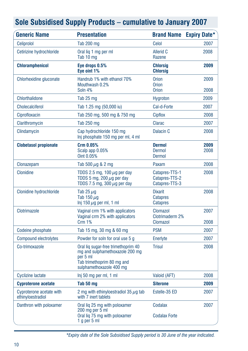| <b>Generic Name</b>                           | <b>Presentation</b>                                                                                                                          | <b>Brand Name</b>                                    | <b>Expiry Date*</b> |
|-----------------------------------------------|----------------------------------------------------------------------------------------------------------------------------------------------|------------------------------------------------------|---------------------|
| Celiprolol                                    | <b>Tab 200 mg</b>                                                                                                                            | Celol                                                | 2007                |
| Cetirizine hydrochloride                      | Oral lig 1 mg per ml<br>Tab 10 mg                                                                                                            | Allerid C<br>Razene                                  | 2008                |
| <b>Chloramphenicol</b>                        | Eye drops 0.5%<br>Eye oint 1%                                                                                                                | <b>Chlorsia</b><br><b>Chlorsig</b>                   | 2009                |
| Chlorhexidine gluconate                       | Handrub 1% with ethanol 70%<br>Mouthwash 0.2%<br>Soln 4%                                                                                     | <b>Orion</b><br><b>Orion</b><br><b>Orion</b>         | 2009<br>2008        |
| <b>Chlorthalidone</b>                         | Tab 25 mg                                                                                                                                    | <b>Hygroton</b>                                      | 2009                |
| <b>Cholecalciferol</b>                        | Tab 1.25 mg (50,000 iu)                                                                                                                      | Cal-d-Forte                                          | 2007                |
| Ciprofloxacin                                 | Tab 250 mg, 500 mg & 750 mg                                                                                                                  | <b>Cipflox</b>                                       | 2008                |
| Clarithromycin                                | Tab 250 mg                                                                                                                                   | Clarac                                               | 2007                |
| Clindamycin                                   | Cap hydrochloride 150 mg<br>Inj phosphate 150 mg per ml, 4 ml                                                                                | Dalacin <sub>C</sub>                                 | 2008                |
| <b>Clobetasol propionate</b>                  | Crm 0.05%<br>Scalp app 0.05%<br>Oint 0.05%                                                                                                   | <b>Dermol</b><br><b>Dermol</b><br>Dermol             | 2009<br>2008        |
| Clonazepam                                    | Tab 500 $\mu$ g & 2 mg                                                                                                                       | Paxam                                                | 2008                |
| Clonidine                                     | TDDS 2.5 mg, 100 $\mu$ g per day<br>TDDS 5 mg, 200 $\mu$ g per day<br>TDDS 7.5 mg, 300 $\mu$ g per day                                       | Catapres-TTS-1<br>Catapres-TTS-2<br>Catapres-TTS-3   | 2008                |
| Clonidine hydrochloride                       | Tab 25 $\mu$ g<br>Tab 150 $\mu$ g<br>Inj 150 $\mu$ g per ml, 1 ml                                                                            | <b>Dixarit</b><br><b>Catapres</b><br><b>Catapres</b> | 2008                |
| Clotrimazole                                  | Vaginal crm 1% with applicators<br>Vaginal crm 2% with applicators<br><b>Crm 1%</b>                                                          | <b>Clomazol</b><br>Clotrimaderm 2%<br>Clomazol       | 2007<br>2008        |
| Codeine phosphate                             | Tab 15 mg, 30 mg & 60 mg                                                                                                                     | <b>PSM</b>                                           | 2007                |
| <b>Compound electrolytes</b>                  | Powder for soln for oral use 5 g                                                                                                             | Enerlyte                                             | 2007                |
| Co-trimoxazole                                | Oral lig sugar-free trimethoprim 40<br>mg and sulphamethoxazole 200 mg<br>per 5 ml<br>Tab trimethoprim 80 mg and<br>sulphamethoxazole 400 mg | <b>Trisul</b>                                        | 2008                |
| <b>Cyclizine lactate</b>                      | Inj 50 mg per ml, 1 ml                                                                                                                       | Valoid (AFT)                                         | 2008                |
| <b>Cyproterone acetate</b>                    | Tab 50 mg                                                                                                                                    | <b>Siterone</b>                                      | 2009                |
| Cyproterone acetate with<br>ethinyloestradiol | 2 mg with ethinyloestradiol 35 $\mu$ g tab<br>with 7 inert tablets                                                                           | Estelle-35 ED                                        | 2007                |
| Danthron with poloxamer                       | Oral lig 25 mg with poloxamer<br>200 mg per 5 ml<br>Oral lig 75 mg with poloxamer<br>1 g per 5 ml                                            | Codalax<br><b>Codalax Forte</b>                      | 2007                |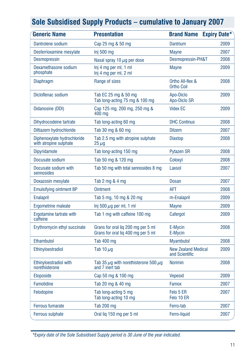| <b>Generic Name</b>                                   | <b>Presentation</b>                                                      | <b>Brand Name</b>                            | <b>Expiry Date*</b> |
|-------------------------------------------------------|--------------------------------------------------------------------------|----------------------------------------------|---------------------|
| Dantrolene sodium                                     | Cap 25 mg & 50 mg                                                        | <b>Dantrium</b>                              | 2009                |
| Desferrioxamine mesylate                              | Inj 500 mg                                                               | <b>Mayne</b>                                 | 2007                |
| <b>Desmopressin</b>                                   | Nasal spray 10 $\mu$ g per dose                                          | Desmopressin-PH&T                            | 2008                |
| Dexamethasone sodium<br>phosphate                     | Inj 4 mg per ml, 1 ml<br>Inj 4 mg per ml, 2 ml                           | <b>Mayne</b>                                 | 2009                |
| Diaphragm                                             | Range of sizes                                                           | Ortho All-flex &<br>Ortho Coil               | 2008                |
| Dicloflenac sodium                                    | Tab EC 25 mg & 50 mg<br>Tab long-acting 75 mg & 100 mg                   | Apo-Diclo<br>Apo-Diclo SR                    | 2009                |
| Didanosine (DDI)                                      | Cap 125 mg, 200 mg, 250 mg &<br>400 ma                                   | <b>Videx EC</b>                              | 2009                |
| Dihydrocodeine tartrate                               | Tab long-acting 60 mg                                                    | <b>DHC Continus</b>                          | 2008                |
| Diltiazem hydrochloride                               | Tab 30 mg & 60 mg                                                        | <b>Dilzem</b>                                | 2007                |
| Diphenoxylate hydrochloride<br>with atropine sulphate | Tab 2.5 mg with atropine sulphate<br>$25 \mu g$                          | <b>Diastop</b>                               | 2008                |
| <b>Dipyridamole</b>                                   | Tab long-acting 150 mg                                                   | <b>Pytazen SR</b>                            | 2008                |
| Docusate sodium                                       | Tab 50 mg & 120 mg                                                       | Coloxyl                                      | 2008                |
| Docusate sodium with<br>sennosides                    | Tab 50 mg with total sennosides 8 mg                                     | Laxsol                                       | 2007                |
| Doxazosin mesylate                                    | Tab 2 mg & 4 mg                                                          | <b>Dosan</b>                                 | 2007                |
| <b>Emulsifying ointment BP</b>                        | <b>Ointment</b>                                                          | <b>AFT</b>                                   | 2008                |
| <b>Enalapril</b>                                      | Tab 5 mg, 10 mg & 20 mg                                                  | m-Enalapril                                  | 2009                |
| Ergometrine maleate                                   | $lnj$ 500 $\mu$ g per ml, 1 ml                                           | <b>Mayne</b>                                 | 2009                |
| Ergotamine tartrate with<br>caffeine                  | Tab 1 mg with caffeine 100 mg                                            | Cafergot                                     | 2009                |
| Erythromycin ethyl succinate                          | Grans for oral lig 200 mg per 5 ml<br>Grans for oral lig 400 mg per 5 ml | E-Mycin<br>E-Mycin                           | 2008                |
| Ethambutol                                            | Tab 400 mg                                                               | <b>M</b> vambutol                            | 2008                |
| Ethinyloestradiol                                     | Tab 10 $\mu$ g                                                           | <b>New Zealand Medical</b><br>and Scientific | 2009                |
| Ethinyloestradiol with<br>norethisterone              | Tab 35 $\mu$ g with norethisterone 500 $\mu$ g<br>and 7 inert tab        | <b>Norimin</b>                               | 2008                |
| <b>Etoposide</b>                                      | Cap 50 mg & 100 mg                                                       | <b>Vepesid</b>                               | 2009                |
| Famotidine                                            | Tab 20 mg & 40 mg                                                        | Famox                                        | 2007                |
| Felodopine                                            | Tab long-acting 5 mg<br>Tab long-acting 10 mg                            | Felo 5 ER<br>Felo 10 ER                      | 2007                |
| <b>Ferrous fumarate</b>                               | <b>Tab 200 mg</b>                                                        | Ferro-tab                                    | 2007                |
| Ferrous sulphate                                      | Oral lig 150 mg per 5 ml                                                 | Ferro-liquid                                 | 2007                |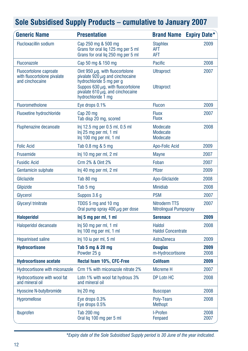| <b>Generic Name</b>                                                             | <b>Presentation</b>                                                                                                                                                                                               | <b>Brand Name</b>                           | <b>Expiry Date*</b> |
|---------------------------------------------------------------------------------|-------------------------------------------------------------------------------------------------------------------------------------------------------------------------------------------------------------------|---------------------------------------------|---------------------|
| <b>Flucloxacillin sodium</b>                                                    | Cap 250 mg & 500 mg<br>Grans for oral lig 125 mg per 5 ml<br>Grans for oral liq 250 mg per 5 ml                                                                                                                   | <b>Staphlex</b><br><b>AFT</b><br><b>AFT</b> | 2009                |
| <b>Fluconazole</b>                                                              | Cap 50 mg & 150 mg                                                                                                                                                                                                | Pacific                                     | 2008                |
| <b>Fluocortolone caproate</b><br>with fluocortolone pivalate<br>and cinchocaine | Oint 950 $\mu$ g, with fluocortolone<br>pivalate $920 \mu$ g and cinchocaine<br>hydrochloride 5 mg per g<br>Suppos 630 $\mu$ g, with fluocortolone<br>pivalate 610 $\mu$ g, and cinchocaine<br>hydrochloride 1 mg | <b>Ultraproct</b><br><b>Ultraproct</b>      | 2007                |
| Fluorometholone                                                                 | Eye drops 0.1%                                                                                                                                                                                                    | <b>Flucon</b>                               | 2009                |
| <b>Fluoxetine hydrochloride</b>                                                 | Cap 20 mg<br>Tab disp 20 mg, scored                                                                                                                                                                               | <b>Fluox</b><br><b>Fluox</b>                | 2007                |
| <b>Fluphenazine decanoate</b>                                                   | Inj 12.5 mg per 0.5 ml, 0.5 ml<br>Inj 25 mg per ml, 1 ml<br>Inj 100 mg per ml, 1 ml                                                                                                                               | Modecate<br>Modecate<br>Modecate            | 2008                |
| <b>Folic Acid</b>                                                               | Tab 0.8 mg & 5 mg                                                                                                                                                                                                 | Apo-Folic Acid                              | 2009                |
| Frusemide                                                                       | Inj 10 mg per ml, 2 ml                                                                                                                                                                                            | <b>Mayne</b>                                | 2007                |
| <b>Fusidic Acid</b>                                                             | Crm 2% & Oint 2%                                                                                                                                                                                                  | Foban                                       | 2007                |
| Gentamicin sulphate                                                             | Inj 40 mg per ml, 2 ml                                                                                                                                                                                            | <b>Pfizer</b>                               | 2009                |
| Gliclazide                                                                      | Tab 80 mg                                                                                                                                                                                                         | Apo-Gliclazide                              | 2008                |
| Glipizide                                                                       | Tab 5 mg                                                                                                                                                                                                          | <b>Minidiab</b>                             | 2008                |
| Glycerol                                                                        | Suppos 3.6 g                                                                                                                                                                                                      | <b>PSM</b>                                  | 2007                |
| <b>Glyceryl trinitrate</b>                                                      | TDDS 5 mg and 10 mg<br>Oral pump spray 400 $\mu$ g per dose                                                                                                                                                       | Nitroderm TTS<br>Nitrolingual Pumpspray     | 2007                |
| <b>Haloperidol</b>                                                              | Inj 5 mg per ml, 1 ml                                                                                                                                                                                             | <b>Serenace</b>                             | 2009                |
| Haloperidol decanoate                                                           | Inj 50 mg per ml, 1 ml<br>Inj 100 mg per ml, 1 ml                                                                                                                                                                 | <b>Haldol</b><br><b>Haldol Concentrate</b>  | 2008                |
| <b>Heparinised saline</b>                                                       | Inj 10 iu per ml, 5 ml                                                                                                                                                                                            | AstraZeneca                                 | 2009                |
| <b>Hydrocortisone</b>                                                           | Tab 5 mg & 20 mg<br>Powder 25 g                                                                                                                                                                                   | <b>Douglas</b><br>m-Hydrocortisone          | 2009<br>2008        |
| <b>Hydrocortisone acetate</b>                                                   | Rectal foam 10%, CFC-Free                                                                                                                                                                                         | <b>Colifoam</b>                             | 2009                |
| Hydrocortisone with miconazole                                                  | Crm 1% with miconazole nitrate 2%                                                                                                                                                                                 | Micreme H                                   | 2007                |
| Hydrocortisone with wool fat<br>and mineral oil                                 | Lotn 1% with wool fat hydrous 3%<br>and mineral oil                                                                                                                                                               | <b>DP Lotn HC</b>                           | 2008                |
| <b>Hyoscine N-butylbromide</b>                                                  | Inj 20 mg                                                                                                                                                                                                         | <b>Buscopan</b>                             | 2008                |
| Hypromellose                                                                    | Eye drops 0.3%<br>Eye drops 0.5%                                                                                                                                                                                  | Polv-Tears<br><b>Methopt</b>                | 2008                |
| Ibuprofen                                                                       | Tab 200 mg<br>Oral lig 100 mg per 5 ml                                                                                                                                                                            | I-Profen<br>Fenpaed                         | 2008<br>2007        |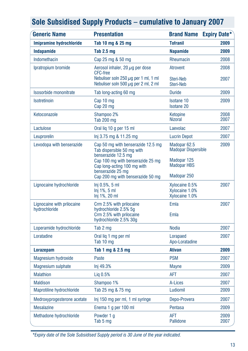|  |  |  |  | Sole Subsidised Supply Products – cumulative to January 2007 |  |  |  |
|--|--|--|--|--------------------------------------------------------------|--|--|--|
|--|--|--|--|--------------------------------------------------------------|--|--|--|

| <b>Generic Name</b>                         | <b>Presentation</b>                                                                                  | <b>Brand Name</b>                                     | <b>Expiry Date*</b> |
|---------------------------------------------|------------------------------------------------------------------------------------------------------|-------------------------------------------------------|---------------------|
| Imipramine hydrochloride                    | Tab 10 mg & 25 mg                                                                                    | <b>Tofranil</b>                                       | 2009                |
| <b>Indapamide</b>                           | <b>Tab 2.5 mg</b>                                                                                    | <b>Napamide</b>                                       | 2009                |
| Indomethacin                                | Cap 25 mg & 50 mg                                                                                    | Rheumacin                                             | 2008                |
| Ipratropium bromide                         | Aerosol inhaler, 20 $\mu$ q per dose<br><b>CFC-free</b><br>Nebuliser soln 250 $\mu$ g per 1 ml, 1 ml | <b>Atrovent</b><br>Steri-Neb                          | 2008<br>2007        |
|                                             | Nebuliser soln 500 $\mu$ q per 2 ml, 2 ml                                                            | Steri-Neb                                             |                     |
| Isosorbide mononitrate                      | Tab long-acting 60 mg                                                                                | <b>Duride</b>                                         | 2009                |
| Isotretinoin                                | Cap 10 mg<br>Cap 20 mg                                                                               | Isotane 10<br><b>Isotane 20</b>                       | 2009                |
| Ketoconazole                                | Shampoo 2%<br><b>Tab 200 mg</b>                                                                      | Ketopine<br><b>Nizoral</b>                            | 2008<br>2007        |
| Lactulose                                   | Oral lig 10 g per 15 ml                                                                              | Laevolac                                              | 2007                |
| Leuprorelin                                 | lnj 3.75 mg & 11.25 mg                                                                               | <b>Lucrin Depot</b>                                   | 2007                |
| Levodopa with benserazide                   | Cap 50 mg with benserazide 12.5 mg<br>Tab dispersible 50 mg with<br>benserazide 12.5 mg              | Madopar <sub>62.5</sub><br><b>Madopar Dispersible</b> | 2009                |
|                                             | Cap 100 mg with benserazide 25 mg<br>Cap long-acting 100 mg with<br>benserazide 25 mg                | Madopar 125<br><b>Madopar HBS</b>                     |                     |
|                                             | Cap 200 mg with benserazide 50 mg                                                                    | Madopar 250                                           |                     |
| Lignocaine hydrochloride                    | $Inj 0.5\%$ , 5 ml<br>$Inj 1\%, 5 ml$<br>Inj 1%, 20 ml                                               | Xylocaine 0.5%<br>Xylocaine 1.0%<br>Xylocaine 1.0%    | 2007                |
| Lignocaine with prilocaine<br>hydrochloride | Crm 2.5% with prilocaine<br>hydrochloride 2.5% 5g<br>Crm 2.5% with prilocaine                        | Emla<br>Emla                                          | 2007                |
|                                             | hydrochloride 2.5% 30g                                                                               |                                                       |                     |
| Loperamide hydrochloride                    | Tab 2 mg                                                                                             | <b>Nodia</b>                                          | 2007                |
| Loratadine                                  | Oral lig 1 mg per ml<br>Tab 10 mg                                                                    | Lorapaed<br>Apo-Loratadine                            | 2007                |
| <b>Lorazepam</b>                            | Tab 1 mg & 2.5 mg                                                                                    | <b>Ativan</b>                                         | 2009                |
| Magnesium hydroxide                         | Paste                                                                                                | <b>PSM</b>                                            | 2007                |
| Magnesium sulphate                          | Inj 49.3%                                                                                            | <b>Mayne</b>                                          | 2009                |
| <b>Malathion</b>                            | Lig 0.5%                                                                                             | <b>AFT</b>                                            | 2007                |
| <b>Maldison</b>                             | Shampoo 1%                                                                                           | A-Lices                                               | 2007                |
| Maprotiline hydrochloride                   | Tab 25 mg & 75 mg                                                                                    | Ludiomil                                              | 2009                |
| Medroxyprogesterone acetate                 | Inj 150 mg per ml, 1 ml syringe                                                                      | Depo-Provera                                          | 2007                |
| <b>Mesalazine</b>                           | Enema 1 g per 100 ml                                                                                 | Pentasa                                               | 2009                |
| Methadone hydrochloride                     | Powder 1 g<br>Tab 5 mg                                                                               | AFT<br><b>Pallidone</b>                               | 2009<br>2007        |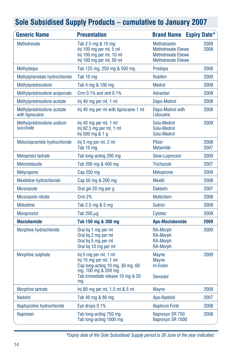| <b>Generic Name</b>                           | <b>Presentation</b>                                                                                                                                  | <b>Brand Name Expiry Date*</b>                                                                             |              |
|-----------------------------------------------|------------------------------------------------------------------------------------------------------------------------------------------------------|------------------------------------------------------------------------------------------------------------|--------------|
| Methotrexate                                  | Tab 2.5 mg & 10 mg<br>Inj 100 mg per ml, 5 ml<br>Inj 100 mg per ml, 10 ml<br>Inj 100 mg per ml, 50 ml                                                | <b>Methoblastin</b><br><b>Methotrexate Ebewe</b><br><b>Methotrexate Ebewe</b><br><b>Methotrexate Ebewe</b> | 2009<br>2008 |
| Methyldopa                                    | Tab 125 mg, 250 mg & 500 mg                                                                                                                          | Prodopa                                                                                                    | 2008         |
| Methylphenidate hydrochloride                 | Tab 10 mg                                                                                                                                            | <b>Rubifen</b>                                                                                             | 2009         |
| Methylprednisolone                            | Tab 4 mg & 100 mg                                                                                                                                    | <b>Medrol</b>                                                                                              | 2009         |
| Methylprednisolone aceponate                  | Crm $0.1\%$ and oint $0.1\%$                                                                                                                         | Advantan                                                                                                   | 2009         |
| Methylprednisolone acetate                    | Inj 40 mg per ml, 1 ml                                                                                                                               | Depo-Medrol                                                                                                | 2008         |
| Methylprednisolone acetate<br>with lignocaine | Inj 40 mg per ml with lignocaine 1 ml                                                                                                                | Depo-Medrol with<br>Lidocaine                                                                              | 2008         |
| Methylprednisolone sodium<br>succinate        | Inj 40 mg per ml, 1 ml<br>Inj $62.5$ mg per ml, 1 ml<br>Inj 500 mg & 1 g                                                                             | Solu-Medrol<br>Solu-Medrol<br>Solu-Medrol                                                                  | 2009         |
| Metoclopramide hydrochloride                  | Inj 5 mg per ml, 2 ml<br>Tab 10 mg                                                                                                                   | Pfizer<br>Metamide                                                                                         | 2008<br>2007 |
| Metoprolol tartrate                           | Tab long-acting 200 mg                                                                                                                               | Slow-Lopressor                                                                                             | 2009         |
| Metronidazole                                 | Tab 200 mg & 400 mg                                                                                                                                  | <b>Trichozole</b>                                                                                          | 2007         |
| <b>Metyrapone</b>                             | Cap 250 mg                                                                                                                                           | Metopirone                                                                                                 | 2009         |
| Mexiletine hydrochloride                      | Cap 50 mg & 200 mg                                                                                                                                   | <b>Mexitil</b>                                                                                             | 2008         |
| <b>Miconazole</b>                             | Oral gel 20 mg per g                                                                                                                                 | <b>Daktarin</b>                                                                                            | 2007         |
| Miconazole nitrate                            | Crm 2%                                                                                                                                               | <b>Multichem</b>                                                                                           | 2008         |
| <b>Midodrine</b>                              | Tab 2.5 mg & 5 mg                                                                                                                                    | Gutron                                                                                                     | 2009         |
| <b>Misoprostol</b>                            | Tab 200 $\mu$ g                                                                                                                                      | Cytotec                                                                                                    | 2009         |
| <b>Moclobemide</b>                            | Tab 150 mg & 300 mg                                                                                                                                  | <b>Apo-Moclobemide</b>                                                                                     | 2009         |
| Morphine hydrochloride                        | Oral lig 1 mg per ml<br>Oral lig 2 mg per ml<br>Oral lig 5 mg per ml<br>Oral liq 10 mg per ml                                                        | <b>RA-Morph</b><br><b>RA-Morph</b><br><b>RA-Morph</b><br><b>RA-Morph</b>                                   | 2009         |
| Morphine sulphate                             | Inj 5 mg per ml, 1 ml<br>Inj 15 mg per ml, 1 ml<br>Cap long-acting 10 mg, 30 mg, 60<br>mg, 100 mg & 200 mg<br>Tab immediate release 10 mg & 20<br>mg | Mayne<br><b>Mayne</b><br>m-Eslon<br>Sevredol                                                               | 2009         |
| <b>Morphine tartrate</b>                      | Inj 80 mg per ml, 1.5 ml & 5 ml                                                                                                                      | <b>Mayne</b>                                                                                               | 2009         |
| <b>Nadolol</b>                                | Tab 40 mg & 80 mg                                                                                                                                    | Apo-Nadolol                                                                                                | 2007         |
| Naphazoline hydrochloride                     | Eye drops 0.1%                                                                                                                                       | <b>Naphcon Forte</b>                                                                                       | 2008         |
| Naproxen                                      | Tab long-acting 750 mg<br>Tab long-acting 1000 mg                                                                                                    | Naprosyn SR 750<br>Naprosyn SR 1000                                                                        | 2008         |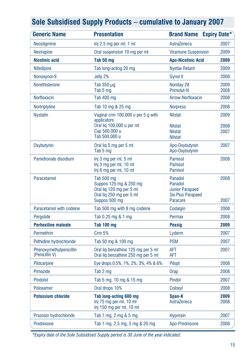| <b>Generic Name</b>                       | <b>Presentation</b>                                                                                           | <b>Brand Name Expiry Date*</b>                                                       |              |
|-------------------------------------------|---------------------------------------------------------------------------------------------------------------|--------------------------------------------------------------------------------------|--------------|
| Neostigmine                               | Inj 2.5 mg per ml, 1 ml                                                                                       | AstraZeneca                                                                          | 2007         |
| <b>Nevirapine</b>                         | Oral suspension 10 mg per ml                                                                                  | <b>Viramune Suspension</b>                                                           | 2009         |
| <b>Nicotinic acid</b>                     | Tab 50 mg                                                                                                     | <b>Apo-Nicotinic Acid</b>                                                            | 2009         |
| <b>Nifedipine</b>                         | Tab long-acting 20 mg                                                                                         | <b>Nyefax Retard</b>                                                                 | 2009         |
| Nonoxynol-9                               | Jelly 2%                                                                                                      | <b>Gynol II</b>                                                                      | 2008         |
| Norethisterone                            | Tab 350 $\mu$ g<br>Tab 5 mg                                                                                   | Noriday 28<br><b>Primolut-N</b>                                                      | 2009<br>2008 |
| <b>Norfloxacin</b>                        | Tab 400 mg                                                                                                    | Arrow-Norfloxacin                                                                    | 2008         |
| Nortriptyline                             | Tab 10 mg & 25 mg                                                                                             | <b>Norpress</b>                                                                      | 2008         |
| <b>Nystatin</b>                           | Vaginal crm 100,000 u per 5 g with<br>applicators<br>Oral liq 100,000 u per ml                                | <b>Nilstat</b><br><b>Nilstat</b>                                                     | 2009<br>2008 |
|                                           | Cap 500,000 u<br>Tab 500,000 u                                                                                | <b>Nilstat</b><br><b>Nilstat</b>                                                     | 2007         |
| Oxybutynin                                | Oral lig 5 mg per 5 ml<br>Tab 5 mg                                                                            | Apo-Oxybutynin<br>Apo-Oxybutynin                                                     | 2007         |
| Pamidronate disodium                      | Inj 3 mg per ml, 5 ml<br>Inj 3 mg per ml, 10 ml<br>Inj 6 mg per ml, 10 ml                                     | <b>Pamisol</b><br><b>Pamisol</b><br><b>Pamisol</b>                                   | 2008         |
| Paracetamol                               | Tab 500 mg<br>Suppos 125 mg & 250 mg<br>Oral lig 120 mg per 5 ml<br>Oral lig 250 mg per 5 ml<br>Suppos 500 mg | Panadol<br>Panadol<br><b>Junior Parapaed</b><br><b>Six Plus Parapaed</b><br>Paracare | 2008<br>2007 |
| Paracetamol with codeine                  | Tab 500 mg with 8 mg codeine                                                                                  | Codalgin                                                                             | 2008         |
| Pergolide                                 | Tab 0.25 mg & 1 mg                                                                                            | Permax                                                                               | 2008         |
| <b>Perhexiline maleate</b>                | <b>Tab 100 mg</b>                                                                                             | <b>Pexsig</b>                                                                        | 2009         |
| Permethrin                                | <b>Crm 5%</b>                                                                                                 | Lyderm                                                                               | 2007         |
| Pethidine hydrochloride                   | Tab 50 mg & 100 mg                                                                                            | <b>PSM</b>                                                                           | 2007         |
| Phenoxymethylpenicillin<br>(Penicillin V) | Oral liq benzathine 125 mg per 5 ml<br>Oral lig benzathine 250 mg per 5 ml                                    | <b>AFT</b><br><b>AFT</b>                                                             | 2007         |
| Pilocarpine                               | Eye drops 0.5%, 1%, 2%, 3%, 4% & 6%                                                                           | Pilopt                                                                               | 2008         |
| Pimozide                                  | Tab 2 mg                                                                                                      | Orap                                                                                 | 2008         |
| Pindolol                                  | Tab 5 mg, 10 mg & 15 mg                                                                                       | Pindol                                                                               | 2007         |
| Poloxamer                                 | Oral drops 10%                                                                                                | Coloxyl                                                                              | 2008         |
| <b>Potassium chloride</b>                 | Tab long-acting 600 mg<br>Inj 75 mg per ml, 10 ml<br>Inj 150 mg per ml, 10 ml                                 | Span-K<br>AstraZeneca                                                                | 2009<br>2008 |
| Prazosin hydrochloride                    | Tab 1 mg, 2 mg & 5 mg                                                                                         | <b>Hyprosin</b>                                                                      | 2007         |
| Prednisone                                | Tab 1 mg, 2.5 mg, 5 mg & 20 mg                                                                                | Apo-Prednisone                                                                       | 2008         |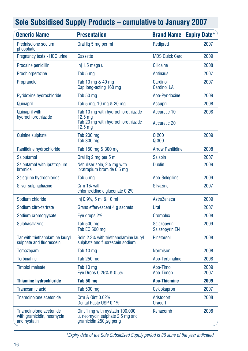| <b>Generic Name</b>                                         | <b>Presentation</b>                                                                           |                                | <b>Brand Name Expiry Date*</b> |
|-------------------------------------------------------------|-----------------------------------------------------------------------------------------------|--------------------------------|--------------------------------|
| Prednisolone sodium<br>phosphate                            | Oral lig 5 mg per ml                                                                          | Redipred                       | 2007                           |
| Pregnancy tests - HCG urine                                 | Cassette                                                                                      | <b>MDS Quick Card</b>          | 2009                           |
| Procaine penicillin                                         | lnj 1.5 mega u                                                                                | <b>Cilicaine</b>               | 2008                           |
| Prochlorperazine                                            | Tab 5 mg                                                                                      | <b>Antinaus</b>                | 2007                           |
| Propranolol                                                 | Tab 10 mg & 40 mg<br>Cap long-acting 160 mg                                                   | Cardinol<br><b>Cardinol LA</b> | 2007                           |
| Pyridoxine hydrochloride                                    | Tab 50 mg                                                                                     | Apo-Pyridoxine                 | 2009                           |
| Quinapril                                                   | Tab 5 mg, 10 mg & 20 mg                                                                       | Accupril                       | 2008                           |
| <b>Quinapril with</b><br>hydrochlorothiazide                | Tab 10 mg with hydrochlorothiazide<br>$12.5 \text{ ma}$<br>Tab 20 mg with hydrochlorothiazide | Accuretic 10                   | 2008                           |
|                                                             | $12.5 \text{ mg}$                                                                             | <b>Accuretic 20</b>            |                                |
| <b>Quinine sulphate</b>                                     | <b>Tab 200 mg</b><br><b>Tab 300 mg</b>                                                        | Q 200<br>Q 300                 | 2009                           |
| Ranitidine hydrochloride                                    | Tab 150 mg & 300 mg                                                                           | <b>Arrow Ranitidine</b>        | 2008                           |
| Salbutamol                                                  | Oral lig 2 mg per 5 ml                                                                        | <b>Salapin</b>                 | 2007                           |
| Salbutamol with ipratropium<br>bromide                      | Nebuliser soln, 2.5 mg with<br>ipratropium bromide 0.5 mg                                     | <b>Duolin</b>                  | 2009                           |
| Selegiline hydrochloride                                    | Tab 5 mg                                                                                      | Apo-Selegiline                 | 2009                           |
| Silver sulphadiazine                                        | Crm 1% with<br>chlorhexidine digluconate 0.2%                                                 | <b>Silvazine</b>               | 2007                           |
| Sodium chloride                                             | Inj 0.9%, 5 ml & 10 ml                                                                        | AstraZeneca                    | 2009                           |
| Sodium citro-tartrate                                       | Grans effervescent 4 g sachets                                                                | Ural                           | 2007                           |
| Sodium cromoglycate                                         | Eye drops 2%                                                                                  | Cromolux                       | 2008                           |
| Sulphasalazine                                              | Tab 500 mg<br>Tab EC 500 mg                                                                   | Salazopyrin<br>Salazopyrin EN  | 2009                           |
| Tar with triethanolamine lauryl<br>sulphate and fluorescein | Soln 2.3% with triethanolamine lauryl<br>sulphate and fluorescein sodium                      | <b>Pinetarsol</b>              | 2008                           |
| Temazepam                                                   | Tab 10 mg                                                                                     | <b>Normison</b>                | 2008                           |
| <b>Terbinafine</b>                                          | Tab 250 mg                                                                                    | Apo-Terbinafine                | 2008                           |
| <b>Timolol maleate</b>                                      | Tab 10 mg<br>Eye Drops 0.25% & 0.5%                                                           | Apo-Timol<br>Apo-Timop         | 2009<br>2007                   |
| <b>Thiamine hydrochloride</b>                               | Tab 50 mg                                                                                     | <b>Apo-Thiamine</b>            | 2009                           |
| Tranexamic acid                                             | Tab 500 mg                                                                                    | Cyklokapron                    | 2007                           |
| Triamcinolone acetonide                                     | Crm & Oint 0.02%<br>Dental Paste USP 0.1%                                                     | Aristocort<br><b>Oracort</b>   | 2008                           |
| Triamcinolone acetonide<br>with gramicidin, neomycin        | Oint 1 mg with nystatin 100,000<br>u, neomycin sulphate 2.5 mg and                            | Kenacomb                       | 2008                           |

**Sole Subsidised Supply Products – cumulative to January 2007**

*\*Expiry date of the Sole Subsidised Supply period is 30 June of the year indicated.*

gramicidin 250  $\mu$ g per g

and nystatin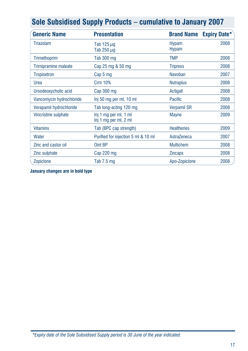| <u>oolo odbolalood oupply i roduolo – odillalativo to odilaaly 2007</u> |                                                |                              |                     |
|-------------------------------------------------------------------------|------------------------------------------------|------------------------------|---------------------|
| <b>Generic Name</b>                                                     | <b>Presentation</b>                            | <b>Brand Name</b>            | <b>Expiry Date*</b> |
| <b>Triazolam</b>                                                        | Tab 125 $\mu$ g<br>Tab 250 $\mu$ g             | <b>Hypam</b><br><b>Hypam</b> | 2008                |
| Trimethoprim                                                            | Tab 300 mg                                     | <b>TMP</b>                   | 2008                |
| Trimipramine maleate                                                    | Cap 25 mg & 50 mg                              | <b>Tripress</b>              | 2008                |
| <b>Tropisetron</b>                                                      | Cap 5 mg                                       | <b>Navoban</b>               | 2007                |
| Urea                                                                    | <b>Crm 10%</b>                                 | <b>Nutraplus</b>             | 2008                |
| Ursodeoxycholic acid                                                    | Cap 300 mg                                     | Actigall                     | 2008                |
| Vancomycin hydrochloride                                                | Inj 50 mg per ml, 10 ml                        | <b>Pacific</b>               | 2008                |
| Verapamil hydrochloride                                                 | Tab long-acting 120 mg                         | <b>Verpamil SR</b>           | 2008                |
| Vincristine sulphate                                                    | Inj 1 mg per ml, 1 ml<br>Inj 1 mg per ml, 2 ml | <b>Mayne</b>                 | 2009                |
| <b>Vitamins</b>                                                         | Tab (BPC cap strength)                         | <b>Healtheries</b>           | 2009                |
| Water                                                                   | Purified for injection 5 ml & 10 ml            | AstraZeneca                  | 2007                |
| Zinc and castor oil                                                     | Oint BP                                        | <b>Multichem</b>             | 2008                |
| Zinc sulphate                                                           | Cap 220 mg                                     | <b>Zincaps</b>               | 2008                |
| Zopiclone                                                               | Tab 7.5 mg                                     | Apo-Zopiclone                | 2008                |

**January changes are in bold type**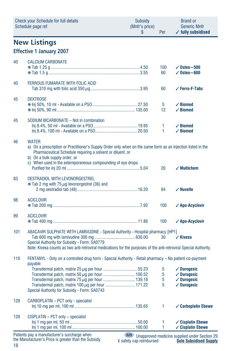|     | <b>Check your Schedule for full details</b><br>Schedule page ref                                                                                                                                                                                                                            | Subsidy<br>(Mnfr's price)<br>\$ | Per                           | Brand or<br><b>Generic Mnfr</b><br>$\checkmark$ fully subsidised                                                  |
|-----|---------------------------------------------------------------------------------------------------------------------------------------------------------------------------------------------------------------------------------------------------------------------------------------------|---------------------------------|-------------------------------|-------------------------------------------------------------------------------------------------------------------|
|     | <b>New Listings</b>                                                                                                                                                                                                                                                                         |                                 |                               |                                                                                                                   |
|     | <b>Effective 1 January 2007</b>                                                                                                                                                                                                                                                             |                                 |                               |                                                                                                                   |
| 40  | <b>CALCIUM CARBONATE</b>                                                                                                                                                                                                                                                                    |                                 | 100<br>60                     | $\sqrt{0}$ steo $\sim$ 500<br>$\sqrt{0}$ steo $\sim$ 600                                                          |
| 40  | FERROUS FUMARATE WITH FOLIC ACID                                                                                                                                                                                                                                                            |                                 | 60                            | ✓ Ferro-F-Tabs                                                                                                    |
| 45  | <b>DEXTROSE</b>                                                                                                                                                                                                                                                                             |                                 | 5<br>12                       | $\checkmark$ Biomed<br>$\checkmark$ Biomed                                                                        |
| 45  | SODIUM BICARBONATE - Not in combination                                                                                                                                                                                                                                                     |                                 | 1<br>1                        | $\checkmark$ Biomed<br>$\checkmark$ Biomed                                                                        |
| 46  | <b>WATER</b><br>a) On a prescription or Practitioner's Supply Order only when on the same form as an injection listed in the<br>Pharmaceutical Schedule requiring a solvent or diluent, or<br>b) On a bulk supply order, or<br>c) When used in the extemporaneous compounding of eye drops. |                                 |                               |                                                                                                                   |
|     |                                                                                                                                                                                                                                                                                             |                                 | 20                            | $\checkmark$ Multichem                                                                                            |
| 83  | <b>OESTRADIOL WITH LEVONORGESTREL</b><br>* Tab 2 mg with 75 µg levonorgestrel (36) and                                                                                                                                                                                                      |                                 | 84                            | $\checkmark$ Nuvelle                                                                                              |
| 98  | <b>ACICLOVIR</b>                                                                                                                                                                                                                                                                            |                                 | 100                           | √ Apo-Acyclovir                                                                                                   |
| 99  | <b>ACICLOVIR</b>                                                                                                                                                                                                                                                                            |                                 | 100                           | √ Apo-Acyclovir                                                                                                   |
| 101 | ABACAVIR SULPHATE WITH LAMIVUDINE - Special Authority - Hospital pharmacy [HP1]                                                                                                                                                                                                             |                                 |                               |                                                                                                                   |
|     | Special Authority for Subsidy - Form: SA0779<br>Note: Kivexa counts as two anti-retroviral medications for the purposes of the anti-retroviral Special Authority.                                                                                                                           |                                 | 30                            | $\checkmark$ Kivexa                                                                                               |
| 110 | FENTANYL - Only on a controlled drug form - Special Authority - Retail pharmacy - No patient co-payment<br>payable                                                                                                                                                                          |                                 |                               |                                                                                                                   |
|     | Transdermal patch, matrix 100 $\mu$ g per hour  171.22<br>Special Authority for Subsidy - Form: SA0743                                                                                                                                                                                      |                                 | 5<br>5<br>5 <sup>5</sup><br>5 | $\sqrt{\phantom{a}}$ Durogesic<br>$\sqrt{\phantom{a}}$ Durogesic<br>$\checkmark$ Durogesic<br>$\sqrt{}$ Durogesic |
| 128 | CARBOPLATIN - PCT only - specialist                                                                                                                                                                                                                                                         |                                 | 1                             | ✓ Carboplatin Ebewe                                                                                               |
| 128 | CISPLATIN - PCT only - specialist<br>Patients pay a manufacturer's surcharge when                                                                                                                                                                                                           | <b>S29</b>                      | 1<br>1                        | $\checkmark$ Cisplatin Ebewe<br>✓ Cisplatin Ebewe<br><b>Ilnannroved medicine sunnlied under Section 29</b>        |

18 the Manufacturer's Price is greater than the Subsidy

**S29** Unapproved medicine supplied under Section 2 ‡ safety cap reimbursed **Sole Subsidised Supply**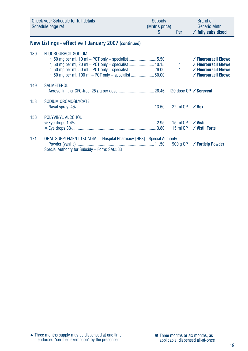|     | <b>Check your Schedule for full details</b><br>Schedule page ref                                                                                                                                           | Subsidy<br>(Mnfr's price)<br>S. | <b>Per</b>           | <b>Brand or</b><br><b>Generic Mnfr</b><br>$\checkmark$ fully subsidised                                                       |
|-----|------------------------------------------------------------------------------------------------------------------------------------------------------------------------------------------------------------|---------------------------------|----------------------|-------------------------------------------------------------------------------------------------------------------------------|
|     | New Listings - effective 1 January 2007 (continued)                                                                                                                                                        |                                 |                      |                                                                                                                               |
| 130 | <b>FLUOROURACIL SODIUM</b><br>$\ln$ 50 mg per ml, 10 ml – PCT only – specialist 5.50<br>lnj 50 mg per ml, 20 ml – PCT only – specialist  10.15<br>$\ln$ 50 mg per ml, 100 ml – PCT only – specialist 50.00 |                                 | 1                    | $\checkmark$ Fluorouracil Ebewe<br>✓ Fluorouracil Ebewe<br>$\checkmark$ Fluorouracil Ebewe<br>$\checkmark$ Fluorouracil Ebewe |
| 149 | <b>SALMETEROL</b>                                                                                                                                                                                          |                                 |                      |                                                                                                                               |
| 153 | SODIUM CROMOGLYCATE                                                                                                                                                                                        |                                 | 22 ml OP             | $\sqrt{Re}$                                                                                                                   |
| 158 | POLYVINYL ALCOHOL                                                                                                                                                                                          |                                 | 15 ml OP<br>15 ml OP | $\sqrt{V}$ Vistil<br>$\checkmark$ Vistil Forte                                                                                |
| 171 | ORAL SUPPLEMENT 1KCAL/ML - Hospital Pharmacy [HP3] - Special Authority<br>Special Authority for Subsidy - Form: SA0583                                                                                     |                                 | 900 g OP             | ✓ Fortisip Powder                                                                                                             |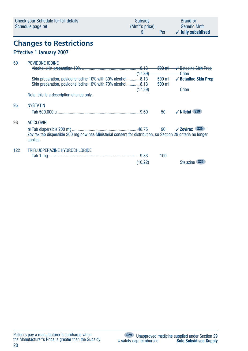| Check your Schedule for full details | Subsidy        | <b>Brand or</b>               |
|--------------------------------------|----------------|-------------------------------|
| Schedule page ref                    | (Mnfr's price) | <b>Generic Mnfr</b>           |
|                                      | Per            | $\checkmark$ fully subsidised |

# **Changes to Restrictions**

### **Effective 1 January 2007**

| 69  | POVIDONE IODINE                                                                                                           |         |           |                                    |
|-----|---------------------------------------------------------------------------------------------------------------------------|---------|-----------|------------------------------------|
|     |                                                                                                                           |         | $-500$ ml | ✔ Betadine Skin Prep               |
|     |                                                                                                                           | (17.39) |           | Orion                              |
|     | Skin preparation, povidone iodine 10% with 30% alcohol8.13                                                                |         | 500 ml    | $\checkmark$ Betadine Skin Prep    |
|     | Skin preparation, povidone iodine 10% with 70% alcohol8.13                                                                |         | 500 ml    |                                    |
|     |                                                                                                                           | (17.39) |           | Orion                              |
|     | Note: this is a description change only.                                                                                  |         |           |                                    |
| 95  | <b>NYSTATIN</b>                                                                                                           |         |           |                                    |
|     |                                                                                                                           |         | 50        | <b>S29</b><br>$\checkmark$ Nilstat |
|     |                                                                                                                           |         |           |                                    |
| 98  | <b>ACICLOVIR</b>                                                                                                          |         |           |                                    |
|     |                                                                                                                           |         | 90        | $\sqrt{2}$ Ovirax $\frac{-829}{2}$ |
|     | Zovirax tab dispersible 200 mg now has Ministerial consent for distribution, so Section 29 criteria no longer<br>applies. |         |           |                                    |
| 122 | TRIFLUOPERAZINE HYDROCHLORIDE                                                                                             |         |           |                                    |
|     |                                                                                                                           |         | 100       |                                    |
|     |                                                                                                                           | (10.22) |           | <b>Stelazine</b>                   |
|     |                                                                                                                           |         |           |                                    |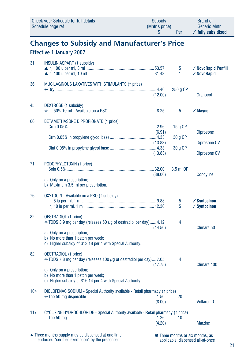|     | <b>Check your Schedule for full details</b><br>Schedule page ref                                                                                                                                                                         | <b>Subsidy</b><br>(Mnfr's price)<br>S | Per                            | <b>Brand or</b><br><b>Generic Mnfr</b><br>$\checkmark$ fully subsidised |
|-----|------------------------------------------------------------------------------------------------------------------------------------------------------------------------------------------------------------------------------------------|---------------------------------------|--------------------------------|-------------------------------------------------------------------------|
|     | <b>Changes to Subsidy and Manufacturer's Price</b><br><b>Effective 1 January 2007</b>                                                                                                                                                    |                                       |                                |                                                                         |
| 31  | INSULIN ASPART (+ subsidy)                                                                                                                                                                                                               |                                       | 5<br>1.                        | √ NovoRapid Penfill<br>√ NovoRapid                                      |
| 36  | MUCILAGINOUS LAXATIVES WITH STIMULANTS († price)                                                                                                                                                                                         | (12.00)                               | 250 g OP                       | Granocol                                                                |
| 45  | DEXTROSE (1 subsidy)                                                                                                                                                                                                                     |                                       | 5                              | $\sqrt{M}$ ayne                                                         |
| 66  | BETAMETHASONE DIPROPIONATE (1 price)                                                                                                                                                                                                     | (6.91)<br>(13.83)<br>(13.83)          | $15q$ OP<br>30 g OP<br>30 g OP | <b>Diprosone</b><br>Diprosone OV<br>Diprosone OV                        |
| 71  | PODOPHYLOTOXIN (1 price)<br>a) Only on a prescription;<br>b) Maximum 3.5 ml per prescription.                                                                                                                                            | (38.00)                               | 3.5 ml OP                      | Condyline                                                               |
| 76  | OXYTOCIN - Available on a PSO (1 subsidy)                                                                                                                                                                                                |                                       | 5<br>5                         | $\checkmark$ Syntocinon<br>$\checkmark$ Syntocinon                      |
| 82  | <b>OESTRADIOL</b> († price)<br>$*$ TDDS 3.9 mg per day (releases 50 $\mu$ g of oestradiol per day)4.12<br>a) Only on a prescription;<br>b) No more than 1 patch per week;<br>c) Higher subsidy of \$13.18 per 4 with Special Authority.  | (14.50)                               | 4                              | Climara 50                                                              |
| 82  | <b>OESTRADIOL</b> († price)<br>$*$ TDDS 7.8 mg per day (releases 100 $\mu$ g of oestradiol per day)7.05<br>a) Only on a prescription;<br>b) No more than 1 patch per week;<br>c) Higher subsidy of \$16.14 per 4 with Special Authority. | (17.75)                               | 4                              | Climara 100                                                             |
| 104 | DICLOFENAC SODIUM - Special Authority available - Retail pharmacy († price)                                                                                                                                                              | (8.00)                                | 20                             | <b>Voltaren D</b>                                                       |

117 CYCLIZINE HYDROCHLORIDE - Special Authority available - Retail pharmacy (è price) Tab 50 mg ................................................................................1.26 10 (4.20) Marzine

Three months supply may be dispensed at one time if endorsed "certified exemption" by the prescriber. ▲ ❋ Three months or six months, as

applicable, dispensed all-at-once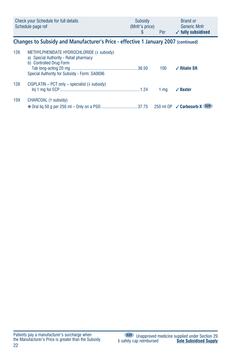|     | Check your Schedule for full details<br>Schedule page ref                                                                                                      | Subsidy<br>(Mnfr's price)<br>\$ | Per            | <b>Brand or</b><br><b>Generic Mnfr</b><br>$\checkmark$ fully subsidised |
|-----|----------------------------------------------------------------------------------------------------------------------------------------------------------------|---------------------------------|----------------|-------------------------------------------------------------------------|
|     | Changes to Subsidy and Manufacturer's Price - effective 1 January 2007 (continued)                                                                             |                                 |                |                                                                         |
| 126 | METHYLPHENIDATE HYDROCHLORIDE (+ subsidy)<br>a) Special Authority - Retail pharmacy<br>b) Controlled Drug Form<br>Special Authority for Subsidy - Form: SA0696 |                                 | 100            | $\sqrt{ }$ Ritalin SR                                                   |
| 128 | $CISPLATIN - PCT only - specialist (l-subsidy)$                                                                                                                |                                 | $1 \text{ mg}$ | $\sqrt{}$ Baxter                                                        |
| 159 | CHARCOAL (1 subsidy)                                                                                                                                           |                                 |                |                                                                         |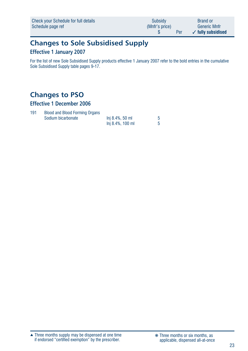| Check your Schedule for full details | Subsidy        | <b>Brand or</b>               |
|--------------------------------------|----------------|-------------------------------|
| Schedule page ref                    | (Mnfr's price) | <b>Generic Mnfr</b>           |
|                                      | Per            | $\checkmark$ fully subsidised |

# **Changes to Sole Subsidised Supply**

### **Effective 1 January 2007**

For the list of new Sole Subsidised Supply products effective 1 January 2007 refer to the bold entries in the cumulative Sole Subsidised Supply table pages 9-17.

# **Changes to PSO**

### **Effective 1 December 2006**

| 191 | <b>Blood and Blood Forming Organs</b> |                     |  |
|-----|---------------------------------------|---------------------|--|
|     | Sodium bicarbonate                    | $Ini 8.4\%$ . 50 ml |  |
|     |                                       | lni 8.4%, 100 ml    |  |

Three months supply may be dispensed at one time if endorsed "certified exemption" by the prescriber. ▲ ❋ Three months or six months, as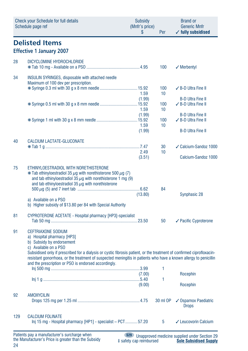|     | <b>Check your Schedule for full details</b><br>Schedule page ref                                                                                                                                                                                                                                                                                                                                                    | Subsidy<br>(Mnfr's price)<br>\$ | Per                    | <b>Brand or</b><br><b>Generic Mnfr</b><br>$\checkmark$ fully subsidised |
|-----|---------------------------------------------------------------------------------------------------------------------------------------------------------------------------------------------------------------------------------------------------------------------------------------------------------------------------------------------------------------------------------------------------------------------|---------------------------------|------------------------|-------------------------------------------------------------------------|
|     | <b>Delisted Items</b><br><b>Effective 1 January 2007</b>                                                                                                                                                                                                                                                                                                                                                            |                                 |                        |                                                                         |
| 28  | DICYCLOMINE HYDROCHLORIDE                                                                                                                                                                                                                                                                                                                                                                                           |                                 | 100                    | $\sqrt{}$ Merbentyl                                                     |
| 34  | <b>INSULIN SYRINGES, disposable with attached needle</b><br>Maximum of 100 dev per prescription.                                                                                                                                                                                                                                                                                                                    | 1.59<br>(1.99)                  | 100<br>10              | $\angle$ B-D Ultra Fine II<br><b>B-D Ultra Fine II</b>                  |
|     |                                                                                                                                                                                                                                                                                                                                                                                                                     | 1.59<br>(1.99)                  | 100<br>10 <sup>1</sup> | ✓ B-D Ultra Fine II<br><b>B-D Ultra Fine II</b>                         |
|     |                                                                                                                                                                                                                                                                                                                                                                                                                     | 1.59<br>(1.99)                  | 100<br>10              | ✓ B-D Ultra Fine II<br><b>B-D Ultra Fine II</b>                         |
| 40  | CALCIUM LACTATE-GLUCONATE                                                                                                                                                                                                                                                                                                                                                                                           | 2.49<br>(3.51)                  | 30<br>10               | ✓ Calcium-Sandoz 1000<br>Calcium-Sandoz 1000                            |
| 75  | ETHINYLOESTRADIOL WITH NORETHISTERONE<br>$*$ Tab ethinyloestradiol 35 $\mu$ g with norethisterone 500 $\mu$ g (7)<br>and tab ethinyloestradiol 35 $\mu$ g with norethisterone 1 mg (9)<br>and tab ethinyloestradiol 35 $\mu$ g with norethisterone<br>a) Available on a PSO<br>b) Higher subsidy of \$13.80 per 84 with Special Authority                                                                           | (13.80)                         | 84                     | Synphasic 28                                                            |
| 81  | CYPROTERONE ACETATE - Hospital pharmacy [HP3]-specialist                                                                                                                                                                                                                                                                                                                                                            |                                 | 50                     | $\checkmark$ Pacific Cyproterone                                        |
| 91  | <b>CEFTRIAXONE SODIUM</b><br>a) Hospital pharmacy [HP3]<br>b) Subsidy by endorsement<br>c) Available on a PSO<br>Subsidised only if prescribed for a dialysis or cystic fibrosis patient, or the treatment of confirmed ciprofloxacin-<br>resistant gonorrhoea, or the treatment of suspected meningitis in patients who have a known allergy to penicillin<br>and the prescription or PSO is endorsed accordingly. | (7.00)<br>(9.00)                | 1<br>1.                | Rocephin<br>Rocephin                                                    |
| 92  | <b>AMOXYCILIN</b>                                                                                                                                                                                                                                                                                                                                                                                                   |                                 | 30 ml OP               | ✔ Ospamox Paediatric<br><b>Drops</b>                                    |
| 129 | <b>CALCIUM FOLINATE</b><br>Inj 15 mg - Hospital pharmacy [HP1] - specialist - PCT57.20                                                                                                                                                                                                                                                                                                                              |                                 | 5                      | ✔ Leucovorin Calcium                                                    |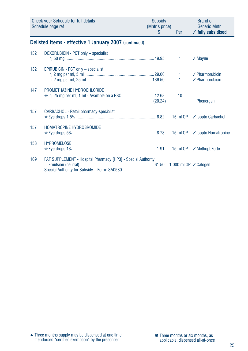|     | <b>Check your Schedule for full details</b><br>Schedule page ref                                             | Subsidy<br>(Mnfr's price)<br>S | <b>Per</b>                       | <b>Brand or</b><br><b>Generic Mnfr</b><br>$\checkmark$ fully subsidised |  |  |  |
|-----|--------------------------------------------------------------------------------------------------------------|--------------------------------|----------------------------------|-------------------------------------------------------------------------|--|--|--|
|     | Delisted Items - effective 1 January 2007 (continued)                                                        |                                |                                  |                                                                         |  |  |  |
| 132 | DOXORUBICIN - PCT only - specialist                                                                          |                                | 1                                | $\sqrt{M}$ ayne                                                         |  |  |  |
| 132 | EPIRUBICIN - PCT only - specialist                                                                           |                                | 1.<br>$\mathbf{1}$               | $\angle$ Pharmorubicin<br>$\sqrt{}$ Pharmorubicin                       |  |  |  |
| 147 | PROMETHAZINE HYDROCHLORIDE<br>* Inj 25 mg per ml, 1 ml - Available on a PSO  12.68                           | (20.24)                        | 10                               | Phenergan                                                               |  |  |  |
| 157 | CARBACHOL - Retail pharmacy-specialist                                                                       |                                | $15 \text{ ml }$ OP              | ✓ Isopto Carbachol                                                      |  |  |  |
| 157 | HOMATROPINE HYDROBROMIDE                                                                                     |                                |                                  |                                                                         |  |  |  |
| 158 | <b>HYPROMELOSE</b>                                                                                           |                                |                                  | 15 ml OP √ Methopt Forte                                                |  |  |  |
| 169 | FAT SUPPLEMENT - Hospital Pharmacy [HP3] - Special Authority<br>Special Authority for Subsidy - Form: SA0580 |                                | 1,000 ml OP $\checkmark$ Calogen |                                                                         |  |  |  |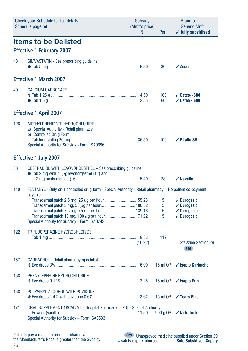|     | <b>Check your Schedule for full details</b><br>Schedule page ref                                                                                   | <b>Subsidy</b><br>(Mnfr's price)<br>S | Per              | <b>Brand or</b><br><b>Generic Mnfr</b><br>$\checkmark$ fully subsidised                |
|-----|----------------------------------------------------------------------------------------------------------------------------------------------------|---------------------------------------|------------------|----------------------------------------------------------------------------------------|
|     | <b>Items to be Delisted</b><br><b>Effective 1 February 2007</b>                                                                                    |                                       |                  |                                                                                        |
| 48  | SIMVASTATIN - See prescribing guideline                                                                                                            |                                       | 30               | $\sqrt{20}$ cor                                                                        |
|     | <b>Effective 1 March 2007</b>                                                                                                                      |                                       |                  |                                                                                        |
| 40  | <b>CALCIUM CARBONATE</b>                                                                                                                           |                                       | 100<br>60        | $\sqrt{0}$ steo $\sim$ 500<br>$\sqrt{0}$ steo $\sim$ 600                               |
|     | <b>Effective 1 April 2007</b>                                                                                                                      |                                       |                  |                                                                                        |
| 126 | METHYLPHENIDATE HYDROCHLORIDE<br>a) Special Authority - Retail pharmacy<br>b) Controlled Drug Form<br>Special Authority for Subsidy - Form: SA0696 |                                       | 100              | $\checkmark$ Ritalin SR                                                                |
|     | <b>Effective 1 July 2007</b>                                                                                                                       |                                       |                  |                                                                                        |
| 83  | <b>OESTRADIOL WITH LEVONORGESTREL - See prescribing guideline</b><br>$*$ Tab 2 mg with 75 $\mu$ g levonorgestrel (12) and                          |                                       | 28               | $\checkmark$ Nuvelle                                                                   |
| 110 | FENTANYL - Only on a controlled drug form - Special Authority - Retail pharmacy - No patient co-payment<br>payable                                 |                                       |                  |                                                                                        |
|     | Special Authority for Subsidy - Form: SA0743                                                                                                       |                                       | 5<br>5<br>5<br>5 | $\checkmark$ Durogesic<br>$\sqrt{}$ Durogesic<br>$\checkmark$ Durogesic<br>✓ Durogesic |
| 122 | TRIFLUOPERAZINE HYDROCHLORIDE                                                                                                                      | (10.22)                               | 112              | <b>Stelazine Section 29</b><br><b>S29</b>                                              |
| 157 | <b>CARBACHOL - Retail pharmacy-specialist</b>                                                                                                      |                                       | 15 ml OP         | ✓ Isopto Carbachol                                                                     |
| 158 | PHENYLEPHRINE HYDROCHLORIDE                                                                                                                        |                                       | 15 ml OP         | $\checkmark$ Isopto Frin                                                               |
| 158 | POLYVINYL ALCOHOL WITH POVIDONE                                                                                                                    |                                       |                  | 15 ml OP √ Tears Plus                                                                  |
| 171 | ORAL SUPPLEMENT 1KCAL/ML - Hospital Pharmacy [HP3] - Special Authority<br>Special Authority for Subsidy - Form: SA0583                             |                                       | 900 g OP         | $\checkmark$ Nutridrink                                                                |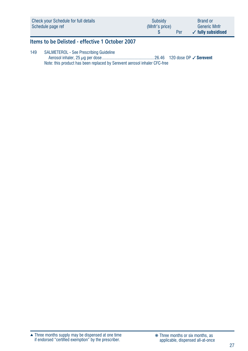| Check your Schedule for full details | Subsidy        | <b>Brand or</b>               |
|--------------------------------------|----------------|-------------------------------|
| Schedule page ref                    | (Mnfr's price) | <b>Generic Mnfr</b>           |
|                                      | Per            | $\checkmark$ fully subsidised |

### **Items to be Delisted - effective 1 October 2007**

149 SALMETEROL - See Prescribing Guideline Aerosol inhaler, 25 μg per dose ...............................................26.46 120 dose OP ✓ **Serevent** Note: this product has been replaced by Serevent aerosol inhaler CFC-free

Three months supply may be dispensed at one time if endorsed "certified exemption" by the prescriber. ▲ ❋ Three months or six months, as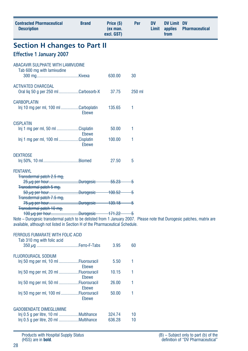| <b>Contracted Pharmaceutical</b><br><b>Description</b>                                                                                                                                                                           | <b>Brand</b>   | Price (\$)<br>(ex man.<br>excl. GST) | Per    | <b>DV</b><br>Limit | <b>DV Limit DV</b><br>applies<br>from | <b>Pharmaceutical</b> |
|----------------------------------------------------------------------------------------------------------------------------------------------------------------------------------------------------------------------------------|----------------|--------------------------------------|--------|--------------------|---------------------------------------|-----------------------|
| <b>Section H changes to Part II</b>                                                                                                                                                                                              |                |                                      |        |                    |                                       |                       |
| <b>Effective 1 January 2007</b>                                                                                                                                                                                                  |                |                                      |        |                    |                                       |                       |
| ABACAVIR SULPHATE WITH LAMIVUDINE<br>Tab 600 mg with lamivudine                                                                                                                                                                  |                | 630.00                               | 30     |                    |                                       |                       |
| <b>ACTIVATED CHARCOAL</b><br>Oral liq 50 g per 250 ml Carbosorb-X                                                                                                                                                                |                | 37.75                                | 250 ml |                    |                                       |                       |
| <b>CARBOPLATIN</b><br>Inj 10 mg per ml, 100 ml Carboplatin                                                                                                                                                                       | Ebewe          | 135.65                               | 1      |                    |                                       |                       |
| <b>CISPLATIN</b><br>lni 1 mg per ml, 50 ml Cisplatin<br>lni 1 mg per ml, 100 ml Cisplatin                                                                                                                                        | Ebewe<br>Ebewe | 50.00<br>100.00                      | 1<br>1 |                    |                                       |                       |
| <b>DEXTROSE</b>                                                                                                                                                                                                                  |                | 27.50                                | 5      |                    |                                       |                       |
| <b>FENTANYL</b><br>Transdermal patch 2.5 mg,<br><b>Transdermal patch 5 mg,</b>                                                                                                                                                   |                | -55.23                               | -5     |                    |                                       |                       |
| Transdermal patch 7.5 mg,                                                                                                                                                                                                        |                | $-139.18$ 5                          |        |                    |                                       |                       |
| Transdermal patch 10 mg,<br>Note – Durogesic transdermal patch to be delisted from 1 January 2007. Please note that Durogesic patches, matrix are<br>available, although not listed in Section H of the Pharmaceutical Schedule. |                |                                      |        |                    |                                       |                       |

#### FERROUS FUMARATE WITH FOLIC ACID

| Tab 310 mg with folic acid                     | 3.95   | 60 |
|------------------------------------------------|--------|----|
| FLUOROURACIL SODIUM                            |        |    |
| lni 50 mg per ml, 10 ml Fluorouracil<br>Ebewe  | 5.50   |    |
| lni 50 mg per ml, 20 ml Fluorouracil<br>Ebewe  | 10.15  | 1  |
| lni 50 mg per ml, 50 ml Fluorouracil<br>Ebewe  | 26.00  |    |
| lni 50 mg per ml, 100 ml Fluorouracil<br>Ebewe | 50.00  |    |
| <b>GADOBENDATE DIMEGLUMINE</b>                 |        |    |
|                                                | 324.74 | 10 |
|                                                | 636.28 | 10 |

Products with Hospital Supply Status (HSS) are in **bold**.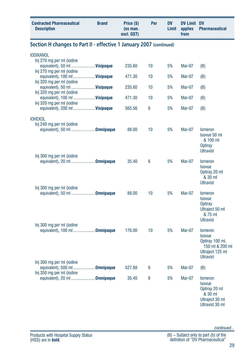| <b>Contracted Pharmaceutical</b><br><b>Description</b>                                  | <b>Brand</b> | Price (\$)<br>(ex man.<br>excl. GST) | Per | <b>DV</b><br>Limit | <b>DV Limit DV</b><br>applies<br>from | <b>Pharmaceutical</b>                                                                                         |
|-----------------------------------------------------------------------------------------|--------------|--------------------------------------|-----|--------------------|---------------------------------------|---------------------------------------------------------------------------------------------------------------|
| Section H changes to Part II - effective 1 January 2007 (continued)                     |              |                                      |     |                    |                                       |                                                                                                               |
| <b>IODIXANOL</b>                                                                        |              |                                      |     |                    |                                       |                                                                                                               |
| Inj 270 mg per ml (iodine<br>equivalent), 50 ml  Visipaque<br>Inj 270 mg per ml (iodine |              | 235.60                               | 10  | 5%                 | <b>Mar-07</b>                         | (B)                                                                                                           |
| equivalent), 100 ml  Visipaque                                                          |              | 471.30                               | 10  | 5%                 | Mar-07                                | (B)                                                                                                           |
| Inj 320 mg per ml (iodine<br>equivalent), 50 ml  Visipaque<br>Inj 320 mg per ml (iodine |              | 235.60                               | 10  | 5%                 | Mar-07                                | (B)                                                                                                           |
| equivalent), 100 ml  Visipaque<br>Inj 320 mg per ml (iodine                             |              | 471.30                               | 10  | 5%                 | <b>Mar-07</b>                         | (B)                                                                                                           |
| equivalent), 200 ml  Visipaque                                                          |              | 565.56                               | 6   | 5%                 | <b>Mar-07</b>                         | (B)                                                                                                           |
| <b>IOHEXOL</b><br>Inj 240 mg per ml (iodine<br>equivalent), 50 ml Omnipaque             |              | 88.00                                | 10  | 5%                 | <b>Mar-07</b>                         | <b>Iomeron</b>                                                                                                |
| Inj 300 mg per ml (iodine                                                               |              |                                      |     |                    |                                       | Isovue 50 ml<br>& 100 ml<br>Optiray<br><b>Ultravist</b>                                                       |
| equivalent), 20 ml Omnipaque                                                            |              | 35.40                                | 6   | 5%                 | Mar-07                                | <b>Iomeron</b><br><b>Isovue</b><br>Optiray 20 ml<br>& 30 ml<br><b>Ultravist</b>                               |
| Inj 300 mg per ml (iodine<br>equivalent), 50 ml Omnipaque                               |              | 88.00                                | 10  | 5%                 | <b>Mar-07</b>                         | <b>lomeron</b><br><b>Isovue</b><br>Optiray<br>Ultraject 50 ml<br>& 75 ml<br><b>Ultravist</b>                  |
| Inj 300 mg per ml (iodine<br>equivalent), 100 ml Omnipaque                              |              | 176.00                               | 10  | 5%                 | <b>Mar-07</b>                         | <b>Iomeron</b><br><b>Isovue</b><br>Optiray 100 ml,<br>150 ml & 200 ml<br>Ultraject 125 ml<br><b>Ultravist</b> |
| Inj 300 mg per ml (iodine<br>equivalent), 500 ml Omnipaque                              |              | 527.88                               | 6   | 5%                 | Mar-07                                | (B)                                                                                                           |
| Inj 350 mg per ml (iodine<br>equivalent), 20 ml <b>Omnipaque</b>                        |              | 35.40                                | 6   | 5%                 | <b>Mar-07</b>                         | <b>lomeron</b><br><b>Isovue</b><br>Optiray 20 ml<br>& 30 ml<br>Ultraject 30 ml<br>Ultravist 30 ml             |

*continued...*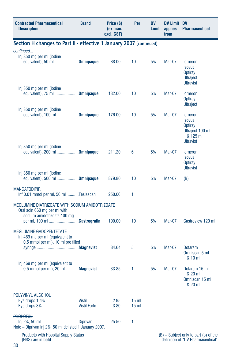| <b>Contracted Pharmaceutical</b><br><b>Description</b>                                                                                        | <b>Brand</b> | Price (\$)<br>(ex man.<br>excl. GST) | Per                                | DV<br>Limit | <b>DV Limit DV</b><br>applies<br>from | <b>Pharmaceutical</b>                                                                          |
|-----------------------------------------------------------------------------------------------------------------------------------------------|--------------|--------------------------------------|------------------------------------|-------------|---------------------------------------|------------------------------------------------------------------------------------------------|
| Section H changes to Part II - effective 1 January 2007 (continued)                                                                           |              |                                      |                                    |             |                                       |                                                                                                |
| continued                                                                                                                                     |              |                                      |                                    |             |                                       |                                                                                                |
| Inj 350 mg per ml (iodine<br>equivalent), 50 ml Omnipaque                                                                                     |              | 88.00                                | 10                                 | 5%          | Mar-07                                | <b>lomeron</b><br><b>Isovue</b><br>Optiray<br><b>Ultraject</b><br><b>Ultravist</b>             |
| Inj 350 mg per ml (iodine<br>equivalent), 75 ml Omnipaque                                                                                     |              | 132.00                               | 10                                 | 5%          | Mar-07                                | <b>lomeron</b><br>Optiray<br><b>Ultraject</b>                                                  |
| Inj 350 mg per ml (iodine<br>equivalent), 100 ml Omnipaque                                                                                    |              | 176.00                               | 10                                 | 5%          | Mar-07                                | <b>lomeron</b><br><b>Isovue</b><br>Optiray<br>Ultraject 100 ml<br>& 125 ml<br><b>Ultravist</b> |
| Inj 350 mg per ml (iodine<br>equivalent), 200 ml Omnipaque                                                                                    |              | 211.20                               | 6                                  | 5%          | Mar-07                                | <b>lomeron</b><br><b>Isovue</b><br><b>Optiray</b><br><b>Ultravist</b>                          |
| Inj 350 mg per ml (iodine<br>equivalent), 500 ml <b>Omnipaque</b>                                                                             |              | 879.80                               | 10                                 | 5%          | Mar-07                                | (B)                                                                                            |
| <b>MANGAFODIPIR</b><br>Inf 0.01 mmol per ml, 50 ml Teslascan                                                                                  |              | 250.00                               | 1                                  |             |                                       |                                                                                                |
| MEGLUMINE DIATRIZOATE WITH SODIUM AMIDOTRIZOATE<br>Oral soln 660 mg per ml with<br>sodium amidotrizoate 100 mg<br>per ml, 100 ml Gastrografin |              | 190.00                               | 10                                 | 5%          | Mar-07                                | Gastroview 120 ml                                                                              |
| <b>MEGLUMINE GADOPENTETATE</b><br>Inj 469 mg per ml (equivalent to<br>0.5 mmol per ml), 10 ml pre filled                                      |              | 84.64                                | 5                                  | 5%          | Mar-07                                | <b>Dotarem</b>                                                                                 |
|                                                                                                                                               |              |                                      |                                    |             |                                       | Omniscan 5 ml<br>& 10 ml                                                                       |
| Inj 469 mg per ml (equivalent to<br>0.5 mmol per ml), 20 ml  Magnevist                                                                        |              | 33.85                                | 1                                  | 5%          | Mar-07                                | Dotarem 15 ml<br>& 20 ml<br>Omniscan 15 ml<br>& 20 ml                                          |
| POLYVINYL ALCOHOL                                                                                                                             |              | 2.95<br>3.80                         | 15 <sub>m</sub><br>15 <sub>m</sub> |             |                                       |                                                                                                |
| <b>PROPOFOL</b><br>Note - Diprivan inj 2%, 50 ml delisted 1 January 2007.                                                                     |              | <del>25.50 -</del>                   | ∔                                  |             |                                       |                                                                                                |
| <b>Products with Hospital Supply Status</b><br>(HSS) are in <b>bold</b> .                                                                     |              |                                      |                                    |             |                                       | $(B)$ – Subject only to part (b) of the<br>definition of "DV Pharmaceutical"                   |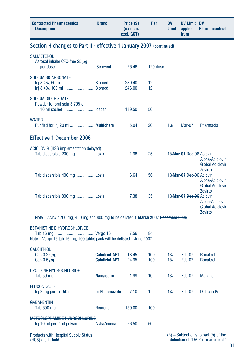| <b>Contracted Pharmaceutical</b><br><b>Description</b>                                                         | <b>Brand</b> | Price (\$)<br>(ex man.<br>excl. GST) | Per        | <b>DV</b><br>Limit | <b>DV Limit DV</b><br>applies<br>from | <b>Pharmaceutical</b>                                                          |
|----------------------------------------------------------------------------------------------------------------|--------------|--------------------------------------|------------|--------------------|---------------------------------------|--------------------------------------------------------------------------------|
| Section H changes to Part II - effective 1 January 2007 (continued)                                            |              |                                      |            |                    |                                       |                                                                                |
| <b>SALMETEROL</b><br>Aerosol inhaler CFC-free 25 $\mu$ g                                                       |              | 26.46                                | 120 dose   |                    |                                       |                                                                                |
| <b>SODIUM BICARBONATE</b><br>Inj 8.4%, 50 ml Biomed<br>Inj 8.4%, 100 ml Biomed                                 |              | 239.40<br>246.00                     | 12<br>12   |                    |                                       |                                                                                |
| SODIUM DIOTRIZOATE<br>Powder for oral soln 3.705 g,<br>10 ml sachetloscan                                      |              | 149.50                               | 50         |                    |                                       |                                                                                |
| <b>WATER</b>                                                                                                   |              | 5.04                                 | 20         | 1%                 | Mar-07                                | Pharmacia                                                                      |
| <b>Effective 1 December 2006</b>                                                                               |              |                                      |            |                    |                                       |                                                                                |
| ACICLOVIR (HSS implementation delayed)<br>Tab dispersible 200 mg <b>Lovir</b>                                  |              | 1.98                                 | 25         |                    | 1%Mar-07 Dec-06 Acicvir               | Alpha-Aciclovir<br><b>Global Aciclovir</b>                                     |
| Tab dispersible 400 mg <b>Lovir</b>                                                                            |              | 6.64                                 | 56         |                    | 1%Mar-07 Dec-06 Acicvir               | <b>Zovirax</b><br>Alpha-Aciclovir<br><b>Global Aciclovir</b>                   |
| Tab dispersible 800 mg <b>Lovir</b>                                                                            |              | 7.38                                 | 35         |                    | 1%Mar-07 Dec-06 Acicvir               | <b>Zovirax</b><br>Alpha-Aciclovir<br><b>Global Aciclovir</b><br><b>Zovirax</b> |
| Note – Acicvir 200 mg, 400 mg and 800 mg to be delisted 1 <b>March 2007</b> December 2006                      |              |                                      |            |                    |                                       |                                                                                |
| <b>BETAHISTINE DIHYDROCHLORIDE</b><br>Note - Vergo 16 tab 16 mg, 100 tablet pack will be delisted 1 June 2007. |              | 7.56                                 | 84         |                    |                                       |                                                                                |
| <b>CALCITRIOL</b>                                                                                              |              | 13.45<br>24.95                       | 100<br>100 | 1%<br>1%           | Feb-07<br>Feb-07                      | Rocaltrol<br>Rocaltrol                                                         |
| <b>CYCLIZINE HYDROCHLORIDE</b>                                                                                 |              | 1.99                                 | 10         | 1%                 | Feb-07                                | <b>Marzine</b>                                                                 |
| <b>FLUCONAZOLE</b><br>$\ln i$ 2 mg per ml, 50 ml <b>m-Fluconazole</b>                                          |              | 7.10                                 | 1          | 1%                 | Feb-07                                | Diflucan IV                                                                    |
| <b>GABAPENTIN</b>                                                                                              |              | 150.00                               | 100        |                    |                                       |                                                                                |
| METOCLOPRAMIDE HYDROCHLORIDE<br>Inj 10 ml per 2 ml polyamp AstraZeneca                                         |              | <del>26.50</del>                     | -50        |                    |                                       |                                                                                |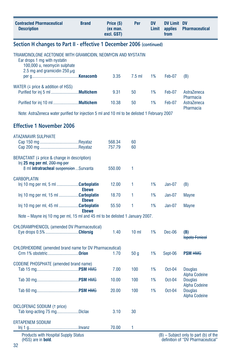| <b>Contracted Pharmaceutical</b><br><b>Description</b>                                                                                                              | <b>Brand</b> | Price (\$)<br>(ex man.<br>excl. GST) | Per             | DV<br>Limit | <b>DV Limit DV</b><br>applies<br>from | <b>Pharmaceutical</b>                                                      |
|---------------------------------------------------------------------------------------------------------------------------------------------------------------------|--------------|--------------------------------------|-----------------|-------------|---------------------------------------|----------------------------------------------------------------------------|
| Section H changes to Part II - effective 1 December 2006 (continued)                                                                                                |              |                                      |                 |             |                                       |                                                                            |
| TRIAMCINOLONE ACETONIDE WITH GRAMICIDIN, NEOMYCIN AND NYSTATIN<br>Ear drops 1 mg with nystatin<br>100,000 u, neomycin sulphate<br>2.5 mg and gramicidin 250 $\mu$ g |              |                                      |                 |             |                                       |                                                                            |
|                                                                                                                                                                     |              | 3.35                                 | $7.5$ ml        | 1%          | Feb-07                                | (B)                                                                        |
| WATER $(1)$ price & addition of HSS)                                                                                                                                |              | 9.31                                 | 50              | 1%          | Feb-07                                | AstraZeneca<br>Pharmacia                                                   |
|                                                                                                                                                                     |              | 10.38                                | 50              | 1%          | Feb-07                                | AstraZeneca<br>Pharmacia                                                   |
| Note: AstraZeneca water purified for injection 5 ml and 10 ml to be delisted 1 February 2007                                                                        |              |                                      |                 |             |                                       |                                                                            |
| <b>Effective 1 November 2006</b>                                                                                                                                    |              |                                      |                 |             |                                       |                                                                            |
| ATAZANAVIR SULPHATE                                                                                                                                                 |              |                                      |                 |             |                                       |                                                                            |
|                                                                                                                                                                     |              | 568.34<br>757.79                     | 60<br>60        |             |                                       |                                                                            |
| BERACTANT (4 price & change in description)<br>$lni$ 25 mg per ml, $200$ mg per<br>8 ml intratracheal suspension  Survanta                                          |              | 550.00                               | 1               |             |                                       |                                                                            |
|                                                                                                                                                                     |              |                                      |                 |             |                                       |                                                                            |
| <b>CARBOPLATIN</b><br>$\ln j$ 10 mg per ml, 5 ml Carboplatin                                                                                                        | <b>Ebewe</b> | 12.00                                | 1               | 1%          | $Jan-07$                              | (B)                                                                        |
| Inj 10 mg per ml, 15 ml Carboplatin                                                                                                                                 | <b>Ebewe</b> | 18.70                                | 1               | 1%          | $Jan-07$                              | <b>Mayne</b>                                                               |
| Inj 10 mg per ml, 45 ml Carboplatin                                                                                                                                 | <b>Ebewe</b> | 55.50                                | 1               | 1%          | $Jan-07$                              | <b>Mayne</b>                                                               |
| Note – Mayne inj 10 mg per ml, 15 ml and 45 ml to be delisted 1 January 2007.                                                                                       |              |                                      |                 |             |                                       |                                                                            |
| <b>CHLORAMPHENICOL (amended DV Pharmaceutical)</b><br>Eye drops 0.5% Chlorsig                                                                                       |              | 1.40                                 | 10 <sub>m</sub> | 1%          | Dec-06                                | (B)<br><b>Ispoto Fenicol</b>                                               |
| <b>CHLORHEXIDINE</b> (amended brand name for DV Pharmaceutical)<br>Crm 1% obstetric <b>Orion</b>                                                                    |              | 1.70                                 | 50 <sub>g</sub> | 1%          | Sept-06                               | <b>PSM HMG</b>                                                             |
| <b>CODEINE PHOSPHATE</b> (amended brand name)                                                                                                                       |              | 7.00                                 | 100             | 1%          | $Oct-04$                              | <b>Douglas</b>                                                             |
|                                                                                                                                                                     |              | 10.00                                | 100             | 1%          | $Oct-04$                              | <b>Alpha Codeine</b><br><b>Douglas</b>                                     |
|                                                                                                                                                                     |              | 20.00                                | 100             | 1%          | Oct-04                                | Alpha Codeine<br><b>Douglas</b><br><b>Alpha Codeine</b>                    |
| DICLOFENAC SODIUM (1 price)<br>Tab long-acting 75 mgDiclax                                                                                                          |              | 3.10                                 | 30              |             |                                       |                                                                            |
| <b>ERTAPENEM SODIUM</b>                                                                                                                                             |              | 70.00                                | 1               |             |                                       |                                                                            |
| <b>Products with Hospital Supply Status</b><br>(HSS) are in bold.                                                                                                   |              |                                      |                 |             |                                       | (B) - Subject only to part (b) of the<br>definition of "DV Pharmaceutical" |

definition of "DV Pharmaceutical"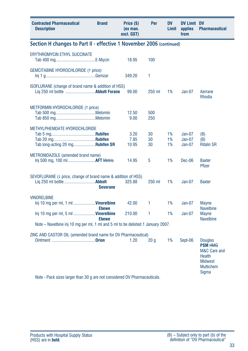| <b>Contracted Pharmaceutical</b><br><b>Description</b>                                                                                      | <b>Brand</b>    | Price (\$)<br>(ex man.<br>excl. GST) | Per             | <b>DV</b><br>Limit | <b>DV Limit DV</b><br>applies<br>from | <b>Pharmaceutical</b>                                                                                     |
|---------------------------------------------------------------------------------------------------------------------------------------------|-----------------|--------------------------------------|-----------------|--------------------|---------------------------------------|-----------------------------------------------------------------------------------------------------------|
| Section H changes to Part II - effective 1 November 2006 (continued)                                                                        |                 |                                      |                 |                    |                                       |                                                                                                           |
| <b>ERYTHROMYCIN ETHYL SUCCINATE</b>                                                                                                         |                 | 18.95                                | 100             |                    |                                       |                                                                                                           |
| <b>GEMCITABINE HYDROCHLORIDE (1 price)</b>                                                                                                  |                 | 349.20                               | 1               |                    |                                       |                                                                                                           |
| ISOFLURANE (change of brand name & addition of HSS)                                                                                         |                 | 99.00                                | 250 ml          | 1%                 | $Jan-07$                              | Aerrane<br><b>Rhodia</b>                                                                                  |
| METFORMIN HYDROCHLORIDE (1 price)                                                                                                           |                 | 12.50<br>9.00                        | 500<br>250      |                    |                                       |                                                                                                           |
| METHYLPHENIDATE HYDROCHLORIDE<br>Tab long-acting 20 mg <b>Rubifen SR</b>                                                                    |                 | 3.20<br>7.85<br>10.95                | 30<br>30<br>30  | 1%<br>1%<br>1%     | Jan-07<br>$Jan-07$<br>$Jan-07$        | (B)<br>(B)<br><b>Ritalin SR</b>                                                                           |
| METRONIDAZOLE (amended brand name)                                                                                                          |                 | 14.95                                | 5               | 1%                 | $Dec-06$                              | <b>Baxter</b><br>Pfizer                                                                                   |
| SEVOFLURANE (4 price, change of brand name & addition of HSS)                                                                               | <b>Sevorane</b> | 325.88                               | 250 ml          | 1%                 | $Jan-07$                              | <b>Baxter</b>                                                                                             |
| <b>VINORELBINE</b><br>Inj 10 mg per ml, 1 ml Vinorelbine                                                                                    | <b>Ebewe</b>    | 42.00                                | 1               | 1%                 | Jan-07                                | <b>Mayne</b><br><b>Navelbine</b>                                                                          |
| Inj 10 mg per ml, 5 ml <b>Vinorelbine</b>                                                                                                   | <b>Ebewe</b>    | 210.00                               | 1               | 1%                 | Jan-07                                | <b>Mayne</b><br><b>Navelbine</b>                                                                          |
| Note – Navelbine inj 10 mg per ml, 1 ml and 5 ml to be delisted 1 January 2007.                                                             |                 |                                      |                 |                    |                                       |                                                                                                           |
| ZINC AND CASTOR OIL (amended brand name for DV Pharmaceutical)<br>Note - Pack sizes larger than 30 g are not considered DV Pharmaceuticals. |                 | 1.20                                 | 20 <sub>g</sub> | 1%                 | Sept-06                               | <b>Douglas</b><br><b>PSM HMG</b><br>M&C Care and<br>Health<br><b>Midwest</b><br><b>Multichem</b><br>Sigma |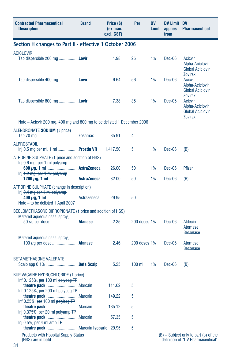| <b>Contracted Pharmaceutical</b><br><b>Description</b>                                                              | <b>Brand</b>                                            | Price (\$)<br>(ex man.<br>excl. GST) | Per          | <b>DV</b><br>Limit | <b>DV Limit DV</b><br>applies<br>from | <b>Pharmaceutical</b>                                                                            |  |  |
|---------------------------------------------------------------------------------------------------------------------|---------------------------------------------------------|--------------------------------------|--------------|--------------------|---------------------------------------|--------------------------------------------------------------------------------------------------|--|--|
|                                                                                                                     | Section H changes to Part II - effective 1 October 2006 |                                      |              |                    |                                       |                                                                                                  |  |  |
| <b>ACICLOVIR</b><br>Tab dispersible 200 mg <b>Lovir</b>                                                             |                                                         | 1.98                                 | 25           | 1%                 | Dec-06                                | <b>Acicvir</b><br>Alpha-Aciclovir<br><b>Global Aciclovir</b>                                     |  |  |
| Tab dispersible 400 mg <b>Lovir</b>                                                                                 |                                                         | 6.64                                 | 56           | 1%                 | $Dec-06$                              | <b>Zovirax</b><br><b>Acicvir</b><br>Alpha-Aciclovir<br><b>Global Aciclovir</b>                   |  |  |
| Tab dispersible 800 mg <b>Lovir</b>                                                                                 |                                                         | 7.38                                 | 35           | 1%                 | Dec-06                                | <b>Zovirax</b><br><b>Acicvir</b><br>Alpha-Aciclovir<br><b>Global Aciclovir</b><br><b>Zovirax</b> |  |  |
| Note – Acicvir 200 mg, 400 mg and 800 mg to be delisted 1 December 2006                                             |                                                         |                                      |              |                    |                                       |                                                                                                  |  |  |
| ALENDRONATE SODIUM (4 price)                                                                                        |                                                         | 35.91                                | 4            |                    |                                       |                                                                                                  |  |  |
| <b>ALPROSTADIL</b><br>Inj 0.5 mg per ml, 1 ml  Prostin VR                                                           |                                                         | 1,417.50                             | 5            | 1%                 | Dec-06                                | (B)                                                                                              |  |  |
| ATROPINE SULPHATE (1 price and addition of HSS)                                                                     |                                                         |                                      |              |                    |                                       |                                                                                                  |  |  |
| Inj 0.6 mg, per 1 ml polyamp<br>Inj <del>1.2 mg, per 1 ml polyamp</del>                                             |                                                         | 26.00                                | 50           | 1%                 | Dec-06                                | <b>Pfizer</b>                                                                                    |  |  |
|                                                                                                                     |                                                         | 32.00                                | 50           | 1%                 | Dec-06                                | (B)                                                                                              |  |  |
| ATROPINE SULPHATE (change in description)<br>$lnj$ $0.4$ mg per 1 ml polyamp-<br>Note - to be delisted 1 April 2007 |                                                         | 29.95                                | 50           |                    |                                       |                                                                                                  |  |  |
| BECLOMETHASONE DIPROPIONATE (1 price and addition of HSS)                                                           |                                                         |                                      |              |                    |                                       |                                                                                                  |  |  |
| Metered aqueous nasal spray,<br>50 $\mu$ g per dose <b>Alanase</b>                                                  |                                                         | 2.35                                 | 200 doses 1% |                    | Dec-06                                | Aldecin<br>Atomase<br><b>Beconase</b>                                                            |  |  |
| Metered aqueous nasal spray,<br>100 $\mu$ g per dose <b>Alanase</b>                                                 |                                                         | 2.46                                 | 200 doses 1% |                    | Dec-06                                | Atomase<br><b>Beconase</b>                                                                       |  |  |
| <b>BETAMETHASONE VALERATE</b><br>Scalp app 0.1% Beta Scalp                                                          |                                                         | 5.25                                 | $100$ ml     | 1%                 | Dec-06                                | (B)                                                                                              |  |  |
| <b>BUPIVACAINE HYDROCHLORIDE (1 price)</b><br>Inf 0.125%, per 100 ml polybag TP                                     |                                                         |                                      |              |                    |                                       |                                                                                                  |  |  |
| Inf $0.125\%$ , per 200 ml polybag TP                                                                               |                                                         | 111.62                               | 5            |                    |                                       |                                                                                                  |  |  |
| Inf 0.25%, per 100 ml polybag TP                                                                                    |                                                         | 149.22                               | 5            |                    |                                       |                                                                                                  |  |  |
| Inj 0.375%, per 20 ml polyamp TP                                                                                    |                                                         | 135.12                               | 5            |                    |                                       |                                                                                                  |  |  |
| Inj 0.5%, per 4 ml $amp$ HP                                                                                         |                                                         | 57.35                                | 5            |                    |                                       |                                                                                                  |  |  |
|                                                                                                                     |                                                         | 29.95                                | 5            |                    |                                       |                                                                                                  |  |  |
| <b>Products with Hospital Supply Status</b><br>(HSS) are in <b>bold</b> .                                           |                                                         |                                      |              |                    |                                       | $(B)$ – Subject only to part (b) of the<br>definition of "DV Pharmaceutical"                     |  |  |

34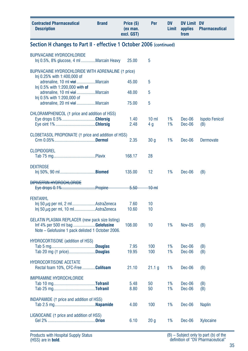| <b>Contracted Pharmaceutical</b><br><b>Description</b>                                                                                                    | <b>Brand</b> | Price (\$)<br>(ex man.<br>excl. GST) | Per                    | DV<br>Limit | <b>DV Limit DV</b><br>applies<br>from | <b>Pharmaceutical</b>        |
|-----------------------------------------------------------------------------------------------------------------------------------------------------------|--------------|--------------------------------------|------------------------|-------------|---------------------------------------|------------------------------|
| Section H changes to Part II - effective 1 October 2006 (continued)                                                                                       |              |                                      |                        |             |                                       |                              |
| <b>BUPIVACAINE HYDROCHLORIDE</b><br>Inj 0.5%, 8% glucose, 4 ml Marcain Heavy                                                                              |              | 25.00                                | 5                      |             |                                       |                              |
| BUPIVACAINE HYDROCHLORIDE WITH ADRENALINE (1 price)                                                                                                       |              |                                      |                        |             |                                       |                              |
| Inj 0.25% with 1:400,000 of<br>adrenaline, 10 ml vialMarcain<br>Inj 0.5% with 1:200,000 with of                                                           |              | 45.00                                | 5                      |             |                                       |                              |
| adrenaline, 10 ml vial Marcain<br>Inj 0.5% with 1:200,000 of                                                                                              |              | 48.00                                | 5                      |             |                                       |                              |
| adrenaline, 20 ml vialMarcain                                                                                                                             |              | 75.00                                | 5                      |             |                                       |                              |
| CHLORAMPHENICOL (1 price and addition of HSS)<br>Eye drops 0.5% Chlorsig                                                                                  |              | 1.40<br>2.48                         | 10 <sub>m</sub><br>4 g | 1%<br>1%    | Dec-06<br>Dec-06                      | <b>Ispoto Fenicol</b><br>(B) |
| CLOBETASOL PROPIONATE (1 price and addition of HSS)                                                                                                       |              |                                      |                        |             |                                       |                              |
|                                                                                                                                                           |              | 2.35                                 | 30 g                   | 1%          | Dec-06                                | <b>Dermovate</b>             |
| <b>CLOPIDOGREL</b>                                                                                                                                        |              | 168.17                               | 28                     |             |                                       |                              |
| <b>DEXTROSE</b>                                                                                                                                           |              | 135.00                               | 12                     | 1%          | Dec-06                                | (B)                          |
| <b>DIPIVEFRIN HYDROCHLORIDE</b>                                                                                                                           |              | $-5.50$                              | <del>10 ml</del>       |             |                                       |                              |
| <b>FENTANYL</b><br>$\ln$ 50 $\mu$ g per ml, 2 mlAstraZeneca<br>$\ln$ 50 $\mu$ g per ml, 10 mlAstraZeneca                                                  |              | 7.60<br>10.60                        | 10<br>10               |             |                                       |                              |
| <b>GELATIN PLASMA REPLACER</b> (new pack size listing)<br>Inf $4\%$ per 500 ml bag <b>Gelofusine</b><br>Note - Gelofusine 1 pack delisted 1 October 2006. |              | 108.00                               | 10                     | 1%          | <b>Nov-05</b>                         | (B)                          |
| <b>HYDROCORTISONE</b> (addition of HSS)<br>Tab 20 mg († price)Douglas                                                                                     |              | 7.95<br>19.95                        | 100<br>100             | 1%<br>1%    | Dec-06<br>Dec-06                      | (B)<br>(B)                   |
| <b>HYDROCORTISONE ACETATE</b><br>Rectal foam 10%, CFC-Free Colifoam                                                                                       |              | 21.10                                | 21.1 g                 | 1%          | Dec-06                                | (B)                          |
| IMIPRAMINE HYDROCHLORIDE                                                                                                                                  |              | 5.48<br>8.80                         | 50<br>50               | 1%<br>1%    | Dec-06<br>Dec-06                      | (B)<br>(B)                   |
| INDAPAMIDE (1 price and addition of HSS)                                                                                                                  |              | 4.00                                 | 100                    | 1%          | Dec-06                                | <b>Naplin</b>                |
| LIGNOCAINE († price and addition of HSS)                                                                                                                  |              | 6.10                                 | 20 <sub>g</sub>        | 1%          | Dec-06                                | Xylocaine                    |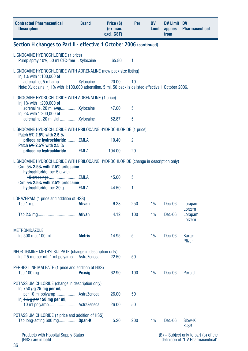| <b>Contracted Pharmaceutical</b><br><b>Description</b>                                                                                                    | <b>Brand</b> | Price (\$)<br>(ex man.<br>excl. GST) | Per | DV<br>Limit | <b>DV Limit DV</b><br>applies<br>from | <b>Pharmaceutical</b>   |  |
|-----------------------------------------------------------------------------------------------------------------------------------------------------------|--------------|--------------------------------------|-----|-------------|---------------------------------------|-------------------------|--|
| Section H changes to Part II - effective 1 October 2006 (continued)                                                                                       |              |                                      |     |             |                                       |                         |  |
| LIGNOCAINE HYDROCHLORIDE (1 price)<br>Pump spray 10%, 50 ml CFC-free  Xylocaine                                                                           |              | 65.80                                | 1   |             |                                       |                         |  |
| LIGNOCAINE HYDROCHLORIDE WITH ADRENALINE (new pack size listing)                                                                                          |              |                                      |     |             |                                       |                         |  |
| Inj 1% with 1:100,000 of<br>Note: Xylocaine inj 1% with 1:100,000 adrenaline, 5 ml, 50 pack is delisted effective 1 October 2006.                         |              | 20.00                                | 10  |             |                                       |                         |  |
| LIGNOCAINE HYDROCHLORIDE WITH ADRENALINE (1 price)                                                                                                        |              |                                      |     |             |                                       |                         |  |
| Inj 1% with 1:200,000 of<br>Inj 2% with 1:200,000 of                                                                                                      |              | 47.00                                | 5   |             |                                       |                         |  |
| adrenaline, 20 ml vial  Xylocaine                                                                                                                         |              | 52.87                                | 5   |             |                                       |                         |  |
| LIGNOCAINE HYDROCHLORIDE WITH PRILOCAINE HYDROCHLORIDE (1 price)<br>Patch 5% 2.5% with 2.5 %                                                              |              |                                      |     |             |                                       |                         |  |
| prilocaine hydrochloride EMLA<br>Patch 5% 2.5% with 2.5 %                                                                                                 |              | 10.40                                | 2   |             |                                       |                         |  |
| prilocaine hydrochloride EMLA                                                                                                                             |              | 104.00                               | 20  |             |                                       |                         |  |
| LIGNOCAINE HYDROCHLORIDE WITH PRILOCAINE HYDROCHLORIDE (change in description only)<br>Crm $5\%$ 2.5% with 2.5% prilocaine<br>hydrochloride, per 5 g with |              |                                      |     |             |                                       |                         |  |
| 10 dressingsEMLA<br>Crm $5\%$ 2.5% with 2.5% prilocaine                                                                                                   |              | 45.00                                | 5   |             |                                       |                         |  |
| hydrochloride, per 30 g EMLA                                                                                                                              |              | 44.50                                | 1   |             |                                       |                         |  |
| LORAZEPAM (1 price and addition of HSS)                                                                                                                   |              | 6.28                                 | 250 | 1%          | Dec-06                                | Lorapam<br>Lorzem       |  |
|                                                                                                                                                           |              | 4.12                                 | 100 | 1%          | Dec-06                                | Lorapam<br>Lorzem       |  |
| <b>METRONIDAZOLE</b>                                                                                                                                      |              | 14.95                                | 5   | 1%          | Dec-06                                | <b>Baxter</b><br>Pfizer |  |
| NEOSTIGMINE METHYLSULPATE (change in description only)<br>Inj 2.5 mg per ml, 1 ml polyampAstraZeneca                                                      |              | 22.50                                | 50  |             |                                       |                         |  |
| PERHEXILINE MALEATE († price and addition of HSS)                                                                                                         |              | 62.90                                | 100 | 1%          | $Dec-06$                              | Pexcid                  |  |
| POTASSIUM CHLORIDE (change in description only)                                                                                                           |              |                                      |     |             |                                       |                         |  |
| lnj $750 \mu$ g 75 mg per ml,<br>per 10 ml polyampAstraZeneca                                                                                             |              | 26.00                                | 50  |             |                                       |                         |  |
| $\ln i$ 1.5 g per 150 mg per ml,<br>10 ml polyampAstraZeneca                                                                                              |              | 26.00                                | 50  |             |                                       |                         |  |
| POTASSIUM CHLORIDE († price and addition of HSS)<br>Tab long-acting 600 mgSpan-K                                                                          |              | 5.20                                 | 200 | 1%          | Dec-06                                | Slow-K<br>K-SR          |  |

Products with Hospital Supply Status (HSS) are in **bold**.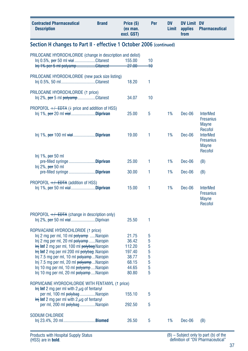| <b>Contracted Pharmaceutical</b><br><b>Description</b>                                                                                                                                                                                                                                                                                                                                                                                                                                 | <b>Brand</b> | Price (\$)<br>(ex man.<br>excl. GST)                                   | Per                                  | <b>DV</b><br>Limit | DV Limit DV<br>applies<br>from | <b>Pharmaceutical</b>                                                     |
|----------------------------------------------------------------------------------------------------------------------------------------------------------------------------------------------------------------------------------------------------------------------------------------------------------------------------------------------------------------------------------------------------------------------------------------------------------------------------------------|--------------|------------------------------------------------------------------------|--------------------------------------|--------------------|--------------------------------|---------------------------------------------------------------------------|
| Section H changes to Part II - effective 1 October 2006 (continued)                                                                                                                                                                                                                                                                                                                                                                                                                    |              |                                                                        |                                      |                    |                                |                                                                           |
| PRILOCAINE HYDROCHLORIDE (change in description and delist)<br>Inj 0.5%, per 50 ml vialCitanest<br>Inj 1% per 5 ml polyampCitanest                                                                                                                                                                                                                                                                                                                                                     |              | 155.00<br><del>27.00</del>                                             | 10<br>40                             |                    |                                |                                                                           |
| PRILOCAINE HYDROCHLORIDE (new pack size listing)<br>Inj 0.5%, 50 mlCitanest                                                                                                                                                                                                                                                                                                                                                                                                            |              | 18.20                                                                  | 1                                    |                    |                                |                                                                           |
| PRILOCAINE HYDROCHLORIDE (1 price)<br>Inj 2%, per 5 ml polyampCitanest                                                                                                                                                                                                                                                                                                                                                                                                                 |              | 34.07                                                                  | 10                                   |                    |                                |                                                                           |
| PROPOFOL $+\sqrt{-EDTA}$ (4 price and addition of HSS)<br>lnj 1%, per 20 ml vialDiprivan                                                                                                                                                                                                                                                                                                                                                                                               |              | 25.00                                                                  | 5                                    | 1%                 | Dec-06                         | <b>InterMed</b><br><b>Fresanius</b><br><b>Mayne</b>                       |
| $lnj$ 1%, per 100 ml $\forall$ iał <b>Diprivan</b>                                                                                                                                                                                                                                                                                                                                                                                                                                     |              | 19.00                                                                  | 1                                    | 1%                 | Dec-06                         | Recofol<br><b>InterMed</b><br><b>Fresanius</b><br><b>Mayne</b><br>Recofol |
| Inj 1%, $per 50$ ml<br>pre-filled syringe Diprivan                                                                                                                                                                                                                                                                                                                                                                                                                                     |              | 25.00                                                                  | 1                                    | 1%                 | Dec-06                         | (B)                                                                       |
| $Inj 2\%$ , <del>per</del> 50 ml<br>pre-filled syringe Diprivan                                                                                                                                                                                                                                                                                                                                                                                                                        |              | 30.00                                                                  | 1                                    | 1%                 | Dec-06                         | (B)                                                                       |
| PROPOFOL $+/-$ EDTA (addition of HSS)                                                                                                                                                                                                                                                                                                                                                                                                                                                  |              | 15.00                                                                  | 1                                    | 1%                 | Dec-06                         | <b>InterMed</b><br><b>Fresanius</b><br><b>Mayne</b><br>Recofol            |
| PROPOFOL $+/-$ EDTA (change in description only)                                                                                                                                                                                                                                                                                                                                                                                                                                       |              | 25.50                                                                  | 1                                    |                    |                                |                                                                           |
| ROPIVACAINE HYDROCHLORIDE (1 price)<br>Inj 2 mg per ml, 10 ml polyamp Naropin<br>Inj 2 mg per ml, 20 ml polyamp Naropin<br><b>Inj Inf</b> 2 mg per ml, 100 ml polybag Naropin<br>$\frac{1}{2}$ inf 2 mg per ml 200 ml $\frac{1}{2}$ bolybag. Naropin<br>Inj 7.5 mg per ml, 10 ml polyampNaropin<br>Inj 7.5 mg per ml, 20 ml polyamp  Naropin<br>Inj 10 mg per ml, 10 ml polyampNaropin<br>Inj 10 mg per ml, 20 ml polyamp Naropin<br>ROPIVICAINE HYDROCHLORIDE WITH FENTANYL (1 price) |              | 21.75<br>36.42<br>112.20<br>197.40<br>38.77<br>68.15<br>44.65<br>80.80 | 5<br>5<br>5<br>5<br>5<br>5<br>5<br>5 |                    |                                |                                                                           |
| $\frac{1}{2}$ Inf 2 mg per ml with 2 $\mu$ g of fentanyl<br>per ml, 100 ml polybag Naropin<br>$\frac{1}{2}$ inf 2 mg per ml with 2 $\mu$ g of fentanyl<br>per ml, 200 ml polybag Naropin                                                                                                                                                                                                                                                                                               |              | 155.10<br>292.50                                                       | 5<br>5                               |                    |                                |                                                                           |
| <b>SODIUM CHLORIDE</b>                                                                                                                                                                                                                                                                                                                                                                                                                                                                 |              | 26.50                                                                  | 5                                    | 1%                 | Dec-06                         | (B)                                                                       |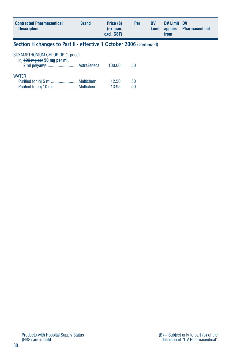| <b>Contracted Pharmaceutical</b><br><b>Description</b>               | <b>Brand</b> | Price (\$)<br>(ex man.<br>excl. GST) | Per | <b>DV</b><br>Limit | <b>DV Limit DV</b><br>applies<br>from | <b>Pharmaceutical</b> |  |
|----------------------------------------------------------------------|--------------|--------------------------------------|-----|--------------------|---------------------------------------|-----------------------|--|
| Section H changes to Part II - effective 1 October 2006 (continued)  |              |                                      |     |                    |                                       |                       |  |
| SUXAMETHONIUM CHLORIDE († price)<br>$Inj$ $+00$ mg per 50 mg per ml, |              |                                      |     |                    |                                       |                       |  |
|                                                                      |              | 100.00                               | 50  |                    |                                       |                       |  |
| <b>WATER</b>                                                         |              |                                      |     |                    |                                       |                       |  |
|                                                                      |              | 12.50                                | 50  |                    |                                       |                       |  |
|                                                                      |              | 13.95                                | 50  |                    |                                       |                       |  |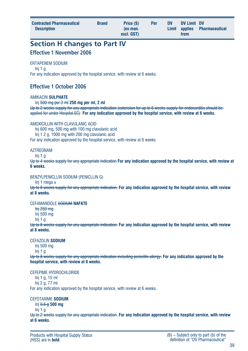| <b>Contracted Pharmaceutical</b><br><b>Description</b> | <b>Brand</b> | Price (\$)<br>(ex man.<br>excl. GST) | Per | <b>DV</b> | DV Limit DV<br>from | Limit applies Pharmaceutical |  |
|--------------------------------------------------------|--------------|--------------------------------------|-----|-----------|---------------------|------------------------------|--|
|--------------------------------------------------------|--------------|--------------------------------------|-----|-----------|---------------------|------------------------------|--|

# **Section H changes to Part IV**

### **Effective 1 November 2006**

#### ERTAPENEM SODIUM

Inj 1 g For any indication approved by the hospital service, with review at 6 weeks.

### **Effective 1 October 2006**

#### AMIKACIN **SULPHATE**

Inj 500 mg per 2 ml **250 mg per ml, 2 ml**

Up to 2 weeks supply for any appropriate indication (extension for up to 6 weeks supply for endocarditis should be applied for under Hospital EC) **For any indication approved by the hospital service, with review at 6 weeks.**

#### AMOXICILLIN WITH CLAVILLANIC ACID

Inj 600 mg, 500 mg with 100 mg clavulanic acid Inj 1.2 g, 1000 mg with 200 mg clavulanic acid For any indication approved by the hospital service, with review at 6 weeks

#### **AZTREONAM**

 $Ini 1<sub>0</sub>$ 

Up to 4 weeks supply for any appropriate indication **For any indication approved by the hospital service, with review at 6 weeks.**

#### BENZYLPENICLLIN SODIUM (PENICLLIN G)

Inj 1 mega u

Up to 8 weeks supply for any appropriate indication. **For any indication approved by the hospital service, with review at 8 weeks.**

#### CEFAMANDOLE SODIUM **NAFATE**

Inj 250 mg

Inj 500 mg

 $Ini<sub>1</sub>$  g

Up to 8 weeks supply for any appropriate indication. **For any indication approved by the hospital service, with review at 8 weeks.**

#### CEFAZOLIN **SODIUM**

Inj 500 mg

Inj 1 g

Up to 8 weeks supply for any appropriate indication including penicillin allergy. **For any indication approved by the hospital service, with review at 8 weeks.**

#### CEFEPIME HYDROCHLORIDE

Inj 1 g, 15 ml Inj 2 g, 77 ml

For any indication approved by the hospital service, with review at 6 weeks.

#### CEFOTAXIME **SODIUM**

Inj 0.5 g **500 mg**

Inj 1 g

Up to 2 weeks supply for any appropriate indication. **For any indication approved by the hospital service, with review at 6 weeks.**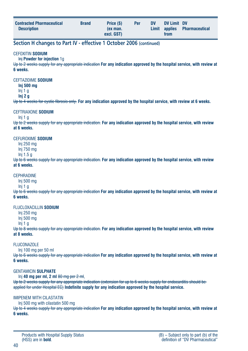| <b>Contracted Pharmaceutical</b><br><b>Brand</b><br><b>Description</b> | Price (\$)<br>(ex man.<br>excl. GST) | Per | <b>DV</b> | DV Limit DV<br>from | Limit applies Pharmaceutical |
|------------------------------------------------------------------------|--------------------------------------|-----|-----------|---------------------|------------------------------|
|------------------------------------------------------------------------|--------------------------------------|-----|-----------|---------------------|------------------------------|

### **Section H changes to Part IV - effective 1 October 2006 (continued)**

#### CEFOXITIN **SODIUM**

Inj **Powder for injection** 1g

Up to 2 weeks supply for any appropriate indication **For any indication approved by the hospital service, with review at 6 weeks.**

#### CEFTAZIDIME **SODIUM**

**Inj 500 mg** Inj 1 g

**Inj 2 g**

Up to 4 weeks for cystic fibrosis only. **For any indication approved by the hospital service, with review at 6 weeks.**

#### CEFTRIAXONE **SODIUM**

Inj 1 g

Up to 2 weeks supply for any appropriate indication. **For any indication approved by the hospital service, with review at 6 weeks.**

#### CEFUROXIME **SODIUM**

Inj 250 mg Inj 750 mg

Inj 1.5 g

Up to 6 weeks supply for any appropriate indication. **For any indication approved by the hospital service, with review at 6 weeks.**

#### **CEPHRADINE**

Inj 500 mg

Inj 1 g

Up to 6 weeks supply for any appropriate indication **For any indication approved by the hospital service, with review at 6 weeks.**

#### FLUCLOXACILLIN **SODIUM**

Inj 250 mg

Inj 500 mg

Inj 1 g

Up to 8 weeks supply for any appropriate indication. **For any indication approved by the hospital service, with review at 8 weeks.**

#### **FI UCONAZOLE**

Inj 100 mg per 50 ml

Up to 6 weeks supply for any appropriate indication **For any indication approved by the hospital service, with review at 6 weeks.**

#### GENTAMICIN **SULPHATE**

Inj **40 mg per ml, 2 ml** 80 mg per 2 ml,

Up to 2 weeks supply for any appropriate indication (extension for up to 6 weeks supply for endocarditis should be applied for under Hospital EC) **Indefinite supply for any indication approved by the hospital service.**

#### IMIPENEM WITH CILASTATIN

Inj 500 mg with cilastatin 500 mg

Up to 4 weeks supply for any appropriate indication **For any indication approved by the hospital service, with review at 6 weeks.**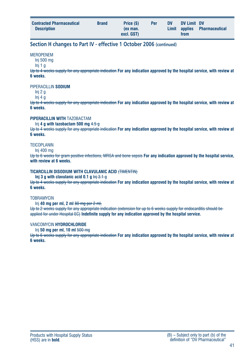| <b>Contracted Pharmaceutical</b><br><b>Description</b> | <b>Brand</b> | Price (\$)<br>(ex man.<br>excl. GST) | Per | <b>DV</b> | DV Limit DV<br>from | Limit applies Pharmaceutical |
|--------------------------------------------------------|--------------|--------------------------------------|-----|-----------|---------------------|------------------------------|
|                                                        |              |                                      |     |           |                     |                              |

### **Section H changes to Part IV - effective 1 October 2006 (continued)**

#### **MFROPENEM**

Inj 500 mg

Inj 1 g

Up to 4 weeks supply for any appropriate indication **For any indication approved by the hospital service, with review at 6 weeks.**

PIPERACILLIN **SODIUM**

Inj 2 g

Inj 4 g

Up to 4 weeks supply for any appropriate indication **For any indication approved by the hospital service, with review at 6 weeks.**

#### **PIPERACILLIN WITH** TAZOBACTAM

Inj **4 g with tazobactam 500 mg** 4.5 g

Up to 4 weeks supply for any appropriate indication **For any indication approved by the hospital service, with review at 6 weeks.**

#### **TFICOPI ANIN**

Inj 400 mg

Up to 6 weeks for gram positive infections, MRSA and bone sepsis **For any indication approved by the hospital service, with review at 6 weeks.**

#### **TICARCILLIN DISODIUM WITH CLAVULANIC ACID** (TIMENTIN)

**Inj 3 g with clavulanic acid 0.1 g Inj 3.1 g** 

Up to 4 weeks supply for any appropriate indication **For any indication approved by the hospital service, with review at 6 weeks.**

#### **TOBRAMYCIN**

Inj **40 mg per ml, 2 ml** 80 mg per 2 ml,

Up to 2 weeks supply for any appropriate indication (extension for up to 6 weeks supply for endocarditis should be applied for under Hospital EC) **Indefinite supply for any indication approved by the hospital service.**

#### VANCOMYCIN **HYDROCHLORIDE**

Inj **50 mg per ml, 10 ml** 500 mg

Up to 6 weeks supply for any appropriate indication **For any indication approved by the hospital service, with review at 6 weeks.**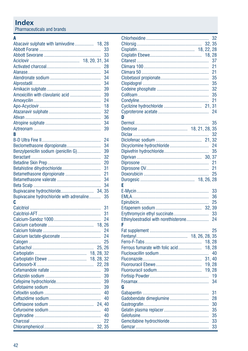## **Index**

Pharmaceuticals and brands

|                                           | Abacavir sulphate with lamivudine 18, 28 |          |
|-------------------------------------------|------------------------------------------|----------|
|                                           |                                          | 33       |
|                                           |                                          | 33       |
|                                           |                                          | 34       |
|                                           |                                          | 28       |
|                                           |                                          | 34       |
|                                           |                                          | 34       |
|                                           |                                          | 34       |
|                                           |                                          | 39       |
| Amoxicillin with clavulanic acid          |                                          | 39       |
|                                           |                                          | 24       |
|                                           |                                          | 18       |
|                                           |                                          | 32       |
|                                           |                                          | 36       |
|                                           |                                          | 34       |
|                                           |                                          | 39       |
| B                                         |                                          |          |
|                                           |                                          | 24       |
| Beclomethasone dipropionate               |                                          | 34       |
| Benzylpenicllin sodium (penicllin G)      |                                          | 39       |
|                                           |                                          | 32       |
|                                           |                                          | 20       |
| Betahistine dihydrochloride               |                                          | 31       |
| Betamethasone dipropionate                |                                          | 21       |
|                                           |                                          | 34       |
|                                           |                                          | 34       |
|                                           | 34, 35                                   |          |
| Bupivacaine hydrochloride with adrenaline |                                          |          |
|                                           |                                          |          |
|                                           |                                          | 35       |
| C                                         |                                          |          |
|                                           |                                          | 31       |
|                                           |                                          | 31       |
|                                           |                                          | 24       |
|                                           | 18.26                                    |          |
|                                           |                                          | 24       |
|                                           |                                          | 24       |
|                                           |                                          | 25       |
|                                           | 25.26                                    |          |
|                                           | 18, 28, 32                               |          |
|                                           |                                          |          |
|                                           | 22, 28                                   |          |
|                                           |                                          | 39       |
|                                           |                                          | 39       |
|                                           |                                          | 39       |
|                                           |                                          | 39       |
|                                           |                                          | 40       |
|                                           |                                          | 40       |
|                                           |                                          |          |
|                                           |                                          | 40       |
|                                           |                                          | 40       |
|                                           | 32.                                      | 22<br>35 |

|                                       |  |        | 32 |
|---------------------------------------|--|--------|----|
|                                       |  |        |    |
|                                       |  |        |    |
|                                       |  |        |    |
|                                       |  |        | 37 |
|                                       |  |        | 21 |
|                                       |  |        | 21 |
|                                       |  |        | 35 |
|                                       |  |        | 35 |
|                                       |  |        | 32 |
|                                       |  |        | 35 |
|                                       |  |        | 21 |
|                                       |  |        |    |
|                                       |  |        | 24 |
| n                                     |  |        |    |
|                                       |  |        | 35 |
|                                       |  |        |    |
|                                       |  |        | 32 |
|                                       |  |        |    |
|                                       |  |        | 24 |
|                                       |  |        | 35 |
|                                       |  |        |    |
|                                       |  |        | 21 |
|                                       |  |        | 21 |
|                                       |  |        | 25 |
|                                       |  |        |    |
| E                                     |  |        |    |
|                                       |  |        | 33 |
|                                       |  |        | 36 |
|                                       |  |        | 25 |
|                                       |  | 32, 39 |    |
| Erythromycin ethyl succinate          |  |        | 33 |
| Ethinyloestradiol with norethisterone |  |        | 24 |
| F                                     |  |        |    |
|                                       |  |        | 25 |
|                                       |  |        |    |
|                                       |  | 18, 28 |    |
| Ferrous fumarate with folic acid      |  | 18, 28 |    |
|                                       |  |        | 40 |
|                                       |  | 31, 40 |    |
|                                       |  | 19, 28 |    |
|                                       |  |        |    |
|                                       |  |        | 19 |
|                                       |  |        | 34 |
| G                                     |  |        |    |
|                                       |  |        | 31 |
|                                       |  |        | 28 |
|                                       |  |        | 30 |
|                                       |  |        | 35 |
|                                       |  |        | 35 |
|                                       |  |        | 33 |
|                                       |  |        | 33 |
|                                       |  |        |    |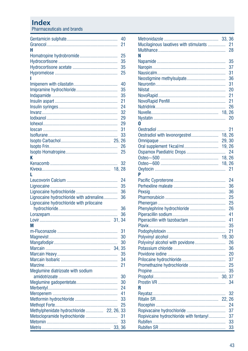### **Index**

Pharmaceuticals and brands

|                                          | 40 |
|------------------------------------------|----|
|                                          | 21 |
| н                                        |    |
|                                          | 25 |
|                                          | 35 |
|                                          | 35 |
|                                          | 25 |
| ı                                        |    |
|                                          | 40 |
|                                          | 35 |
|                                          | 35 |
|                                          | 21 |
|                                          | 24 |
|                                          | 32 |
|                                          | 29 |
|                                          | 29 |
|                                          | 31 |
|                                          | 33 |
|                                          |    |
|                                          | 26 |
|                                          | 25 |
| K                                        |    |
|                                          | 32 |
|                                          |    |
| 18.28                                    |    |
| L                                        |    |
|                                          | 24 |
|                                          | 35 |
|                                          | 36 |
| Lignocaine hydrochloride with adrenaline | 36 |
| Lignocaine hydrochloride with prilocaine |    |
|                                          | 36 |
|                                          | 36 |
|                                          |    |
| М                                        |    |
|                                          | 31 |
|                                          | 30 |
|                                          | 30 |
| 34.                                      | 35 |
|                                          | 35 |
|                                          | 34 |
|                                          | 21 |
| Meglumine diatrizoate with sodium        |    |
|                                          | 30 |
|                                          | 30 |
|                                          | 24 |
|                                          | 41 |
|                                          | 33 |
|                                          | 25 |
| Methylphenidate hydrochloride 22, 26, 33 |    |
| Metoclopramide hydrochloride             | 31 |
|                                          | 33 |
| 33, 36                                   |    |
|                                          |    |

| Mucilaginous laxatives with stimulants  |        | 21 |
|-----------------------------------------|--------|----|
|                                         |        | 28 |
| N                                       |        |    |
|                                         |        | 35 |
|                                         |        | 37 |
|                                         |        | 31 |
|                                         |        | 36 |
|                                         |        | 31 |
|                                         |        | 20 |
|                                         |        | 21 |
|                                         |        | 21 |
|                                         |        | 26 |
|                                         | 18.26  |    |
|                                         |        | 20 |
| 0                                       |        |    |
|                                         |        | 21 |
| Oestradiol with levonorgestrel          | 18, 26 |    |
|                                         | 29, 30 |    |
| Oral supplement 1kcal/ml                | 19, 26 |    |
|                                         |        | 24 |
|                                         |        |    |
|                                         | 18, 26 |    |
|                                         |        | 21 |
| P                                       |        |    |
|                                         |        | 24 |
|                                         |        | 36 |
|                                         |        | 36 |
|                                         |        | 25 |
|                                         |        | 25 |
| Phenylephrine hydrochloride             |        | 26 |
|                                         |        | 41 |
|                                         |        | 41 |
|                                         |        | 35 |
|                                         |        | 21 |
|                                         |        |    |
|                                         |        | 26 |
|                                         |        | 36 |
|                                         |        | 20 |
|                                         |        | 37 |
| Promethazine hydrochloride              |        | 25 |
|                                         |        | 35 |
|                                         |        | 37 |
|                                         |        | 34 |
| R                                       |        |    |
|                                         |        | 32 |
|                                         |        |    |
|                                         |        | 24 |
| Ropivacaine hydrochloride               |        | 37 |
| Ropivicaine hydrochloride with fentanyl |        | 37 |
|                                         |        | 33 |
|                                         |        | 33 |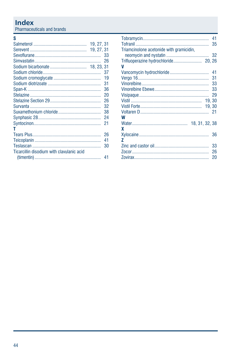## **Index**

Pharmaceuticals and brands

#### $\mathbf{s}$

| 19, 27, 31<br>19, 27, 31                  |    |
|-------------------------------------------|----|
|                                           |    |
|                                           | 26 |
|                                           |    |
|                                           | 37 |
|                                           | 19 |
|                                           | 31 |
|                                           | 36 |
|                                           | 20 |
|                                           | 26 |
|                                           | 32 |
|                                           | 38 |
|                                           | 24 |
|                                           | 21 |
| т                                         |    |
|                                           | 26 |
|                                           | 41 |
|                                           | 30 |
| Ticarcillin disodium with clavulanic acid |    |
|                                           | 41 |

|                                          | 41 |
|------------------------------------------|----|
|                                          | 35 |
| Triamcinolone acetonide with gramicidin, |    |
|                                          | 32 |
|                                          |    |
| V                                        |    |
|                                          | 41 |
|                                          | 31 |
|                                          | 33 |
|                                          | 33 |
|                                          | 29 |
|                                          |    |
|                                          |    |
|                                          |    |
| W                                        |    |
|                                          |    |
| x                                        |    |
|                                          | 36 |
| 7                                        |    |
|                                          | 33 |
|                                          | 26 |
|                                          | 20 |
|                                          |    |